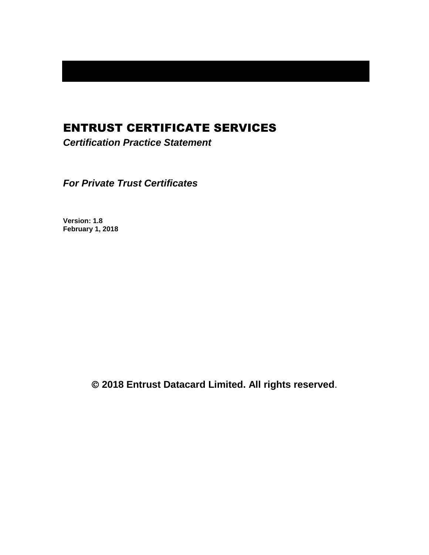# ENTRUST CERTIFICATE SERVICES

*Certification Practice Statement*

*For Private Trust Certificates*

**Version: 1.8 February 1, 2018**

**2018 Entrust Datacard Limited. All rights reserved**.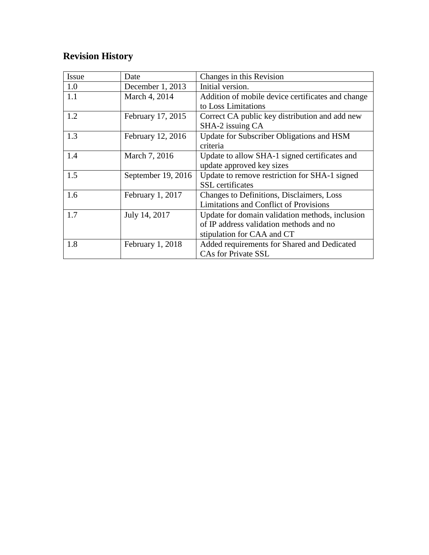# **Revision History**

| Issue | Date               | Changes in this Revision                          |  |
|-------|--------------------|---------------------------------------------------|--|
| 1.0   | December 1, 2013   | Initial version.                                  |  |
| 1.1   | March 4, 2014      | Addition of mobile device certificates and change |  |
|       |                    | to Loss Limitations                               |  |
| 1.2   | February 17, 2015  | Correct CA public key distribution and add new    |  |
|       |                    | SHA-2 issuing CA                                  |  |
| 1.3   | February 12, 2016  | Update for Subscriber Obligations and HSM         |  |
|       |                    | criteria                                          |  |
| 1.4   | March 7, 2016      | Update to allow SHA-1 signed certificates and     |  |
|       |                    | update approved key sizes                         |  |
| 1.5   | September 19, 2016 | Update to remove restriction for SHA-1 signed     |  |
|       |                    | <b>SSL</b> certificates                           |  |
| 1.6   | February 1, 2017   | Changes to Definitions, Disclaimers, Loss         |  |
|       |                    | <b>Limitations and Conflict of Provisions</b>     |  |
| 1.7   | July 14, 2017      | Update for domain validation methods, inclusion   |  |
|       |                    | of IP address validation methods and no           |  |
|       |                    | stipulation for CAA and CT                        |  |
| 1.8   | February 1, 2018   | Added requirements for Shared and Dedicated       |  |
|       |                    | <b>CAs for Private SSL</b>                        |  |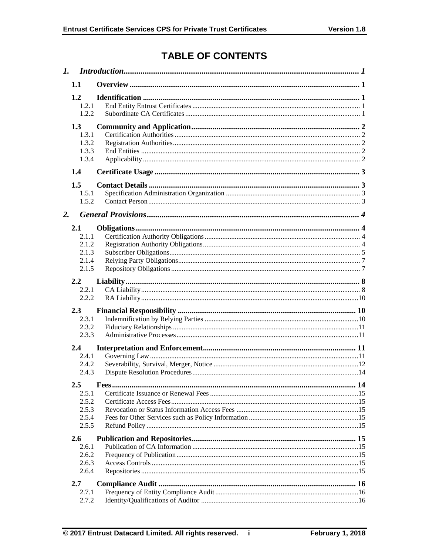# **TABLE OF CONTENTS**

| 1. |                                                      |  |  |  |
|----|------------------------------------------------------|--|--|--|
|    | 1.1                                                  |  |  |  |
|    | 1.2<br>1.2.1<br>1.2.2                                |  |  |  |
|    | 1.3<br>1.3.1<br>1.3.2<br>1.3.3<br>1.3.4              |  |  |  |
|    | 1.4                                                  |  |  |  |
|    | 1.5<br>1.5.1<br>1.5.2                                |  |  |  |
| 2. |                                                      |  |  |  |
|    | 2.1<br>2.1.1<br>2.1.2<br>2.1.3<br>2.1.4<br>2.1.5     |  |  |  |
|    | 2.2<br>2.2.1<br>2.2.2                                |  |  |  |
|    | 2.3<br>2.3.1<br>2.3.2<br>2.3.3                       |  |  |  |
|    | 2.4<br>2.4.1<br>2.4.2<br>2.4.3                       |  |  |  |
|    | $2.5\,$<br>2.5.1<br>2.5.2<br>2.5.3<br>2.5.4<br>2.5.5 |  |  |  |
|    | $2.6^{\circ}$<br>2.6.1<br>2.6.2<br>2.6.3<br>2.6.4    |  |  |  |
|    | 2.7                                                  |  |  |  |
|    | 2.7.1<br>2.7.2                                       |  |  |  |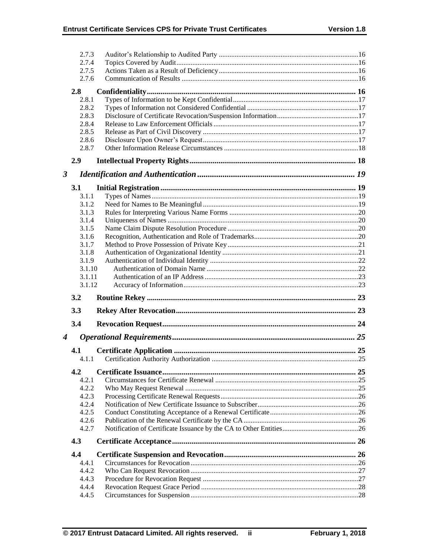|                      | 2.7.3          |  |
|----------------------|----------------|--|
|                      | 2.7.4          |  |
|                      | 2.7.5<br>2.7.6 |  |
|                      |                |  |
|                      | 2.8            |  |
|                      | 2.8.1          |  |
|                      | 2.8.2          |  |
|                      | 2.8.3          |  |
|                      | 2.8.4          |  |
|                      | 2.8.5          |  |
|                      | 2.8.6          |  |
|                      | 2.8.7          |  |
|                      | 2.9            |  |
| $\boldsymbol{\beta}$ |                |  |
|                      | 3.1            |  |
|                      | 3.1.1          |  |
|                      | 3.1.2          |  |
|                      | 3.1.3          |  |
|                      | 3.1.4          |  |
|                      | 3.1.5          |  |
|                      | 3.1.6<br>3.1.7 |  |
|                      | 3.1.8          |  |
|                      | 3.1.9          |  |
|                      | 3.1.10         |  |
|                      | 3.1.11         |  |
|                      |                |  |
|                      | 3.1.12         |  |
|                      | 3.2            |  |
|                      | 3.3            |  |
|                      | 3.4            |  |
| 4                    |                |  |
|                      |                |  |
|                      | 4.1<br>4.1.1   |  |
|                      |                |  |
|                      | 4.2            |  |
|                      | 4.2.1          |  |
|                      | 4.2.2          |  |
|                      | 4.2.3          |  |
|                      | 4.2.4<br>4.2.5 |  |
|                      | 4.2.6          |  |
|                      | 4.2.7          |  |
|                      | 4.3            |  |
|                      | 4.4            |  |
|                      | 4.4.1          |  |
|                      | 4.4.2          |  |
|                      | 4.4.3          |  |
|                      | 4.4.4<br>4.4.5 |  |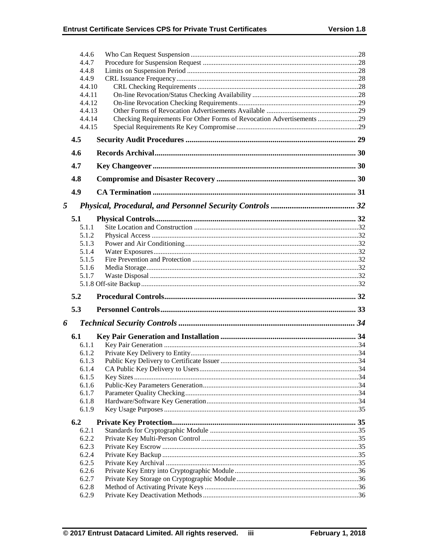|   | 4.4.6          |                                                                       |  |
|---|----------------|-----------------------------------------------------------------------|--|
|   | 4.4.7          |                                                                       |  |
|   | 4.4.8          |                                                                       |  |
|   | 4.4.9          |                                                                       |  |
|   | 4.4.10         |                                                                       |  |
|   | 4.4.11         |                                                                       |  |
|   | 4.4.12         |                                                                       |  |
|   | 4.4.13         |                                                                       |  |
|   | 4.4.14         | Checking Requirements For Other Forms of Revocation Advertisements 29 |  |
|   | 4.4.15         |                                                                       |  |
|   | 4.5            |                                                                       |  |
|   | 4.6            |                                                                       |  |
|   | 4.7            |                                                                       |  |
|   | 4.8            |                                                                       |  |
|   | 4.9            |                                                                       |  |
| 5 |                |                                                                       |  |
|   | 5.1            |                                                                       |  |
|   | 5.1.1          |                                                                       |  |
|   | 5.1.2          |                                                                       |  |
|   | 5.1.3          |                                                                       |  |
|   | 5.1.4          |                                                                       |  |
|   | 5.1.5          |                                                                       |  |
|   | 5.1.6          |                                                                       |  |
|   | 5.1.7          |                                                                       |  |
|   |                |                                                                       |  |
|   | 5.2            |                                                                       |  |
|   | 5.3            |                                                                       |  |
| 6 |                |                                                                       |  |
|   | 6.1            |                                                                       |  |
|   |                |                                                                       |  |
|   | 6.1.1          |                                                                       |  |
|   | 6.1.2          |                                                                       |  |
|   | 6.1.3          |                                                                       |  |
|   | 6.1.4          |                                                                       |  |
|   | 6.1.5          |                                                                       |  |
|   | 6.1.6          |                                                                       |  |
|   | 6.1.7          |                                                                       |  |
|   | 6.1.8          |                                                                       |  |
|   | 6.1.9          |                                                                       |  |
|   | 6.2            |                                                                       |  |
|   | 6.2.1          |                                                                       |  |
|   | 6.2.2          |                                                                       |  |
|   | 6.2.3          |                                                                       |  |
|   | 6.2.4          |                                                                       |  |
|   | 6.2.5          |                                                                       |  |
|   | 6.2.6          |                                                                       |  |
|   | 6.2.7          |                                                                       |  |
|   | 6.2.8<br>6.2.9 |                                                                       |  |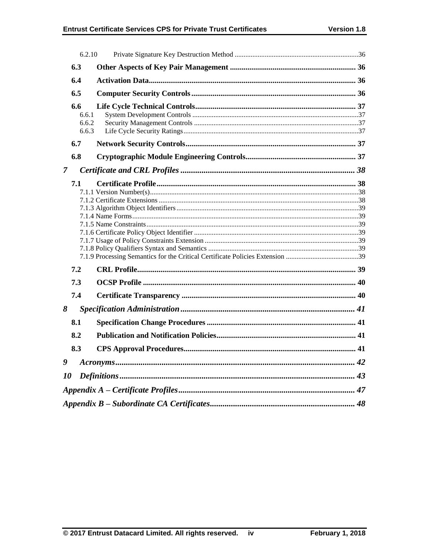|               | 6.2.10 |  |  |  |
|---------------|--------|--|--|--|
|               | 6.3    |  |  |  |
|               | 6.4    |  |  |  |
|               | 6.5    |  |  |  |
|               | 6.6    |  |  |  |
|               | 6.6.1  |  |  |  |
|               | 6.6.2  |  |  |  |
|               | 6.6.3  |  |  |  |
|               | 6.7    |  |  |  |
|               | 6.8    |  |  |  |
| $\mathcal{I}$ |        |  |  |  |
|               | 7.1    |  |  |  |
|               |        |  |  |  |
|               |        |  |  |  |
|               |        |  |  |  |
|               |        |  |  |  |
|               |        |  |  |  |
|               |        |  |  |  |
|               |        |  |  |  |
|               |        |  |  |  |
|               | 7.2    |  |  |  |
|               | 7.3    |  |  |  |
|               | 7.4    |  |  |  |
| 8             |        |  |  |  |
|               | 8.1    |  |  |  |
|               | 8.2    |  |  |  |
|               | 8.3    |  |  |  |
| 9             |        |  |  |  |
| 10            |        |  |  |  |
|               |        |  |  |  |
|               |        |  |  |  |
|               |        |  |  |  |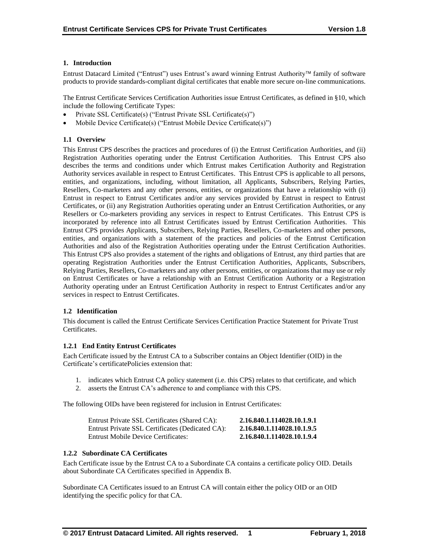# **1. Introduction**

Entrust Datacard Limited ("Entrust") uses Entrust's award winning Entrust Authority family of software products to provide standards-compliant digital certificates that enable more secure on-line communications.

The Entrust Certificate Services Certification Authorities issue Entrust Certificates, as defined in §10, which include the following Certificate Types:

- Private SSL Certificate(s) ("Entrust Private SSL Certificate(s)")
- Mobile Device Certificate(s) ("Entrust Mobile Device Certificate(s)")

# **1.1 Overview**

This Entrust CPS describes the practices and procedures of (i) the Entrust Certification Authorities, and (ii) Registration Authorities operating under the Entrust Certification Authorities. This Entrust CPS also describes the terms and conditions under which Entrust makes Certification Authority and Registration Authority services available in respect to Entrust Certificates. This Entrust CPS is applicable to all persons, entities, and organizations, including, without limitation, all Applicants, Subscribers, Relying Parties, Resellers, Co-marketers and any other persons, entities, or organizations that have a relationship with (i) Entrust in respect to Entrust Certificates and/or any services provided by Entrust in respect to Entrust Certificates, or (ii) any Registration Authorities operating under an Entrust Certification Authorities, or any Resellers or Co-marketers providing any services in respect to Entrust Certificates. This Entrust CPS is incorporated by reference into all Entrust Certificates issued by Entrust Certification Authorities. This Entrust CPS provides Applicants, Subscribers, Relying Parties, Resellers, Co-marketers and other persons, entities, and organizations with a statement of the practices and policies of the Entrust Certification Authorities and also of the Registration Authorities operating under the Entrust Certification Authorities. This Entrust CPS also provides a statement of the rights and obligations of Entrust, any third parties that are operating Registration Authorities under the Entrust Certification Authorities, Applicants, Subscribers, Relying Parties, Resellers, Co-marketers and any other persons, entities, or organizations that may use or rely on Entrust Certificates or have a relationship with an Entrust Certification Authority or a Registration Authority operating under an Entrust Certification Authority in respect to Entrust Certificates and/or any services in respect to Entrust Certificates.

## **1.2 Identification**

This document is called the Entrust Certificate Services Certification Practice Statement for Private Trust Certificates.

## **1.2.1 End Entity Entrust Certificates**

Each Certificate issued by the Entrust CA to a Subscriber contains an Object Identifier (OID) in the Certificate's certificatePolicies extension that:

- 1. indicates which Entrust CA policy statement (i.e. this CPS) relates to that certificate, and which
- 2. asserts the Entrust CA's adherence to and compliance with this CPS.

The following OIDs have been registered for inclusion in Entrust Certificates:

| Entrust Private SSL Certificates (Shared CA):    | 2.16.840.1.114028.10.1.9.1 |
|--------------------------------------------------|----------------------------|
| Entrust Private SSL Certificates (Dedicated CA): | 2.16.840.1.114028.10.1.9.5 |
| Entrust Mobile Device Certificates:              | 2.16.840.1.114028.10.1.9.4 |

# **1.2.2 Subordinate CA Certificates**

Each Certificate issue by the Entrust CA to a Subordinate CA contains a certificate policy OID. Details about Subordinate CA Certificates specified in Appendix B.

Subordinate CA Certificates issued to an Entrust CA will contain either the policy OID or an OID identifying the specific policy for that CA.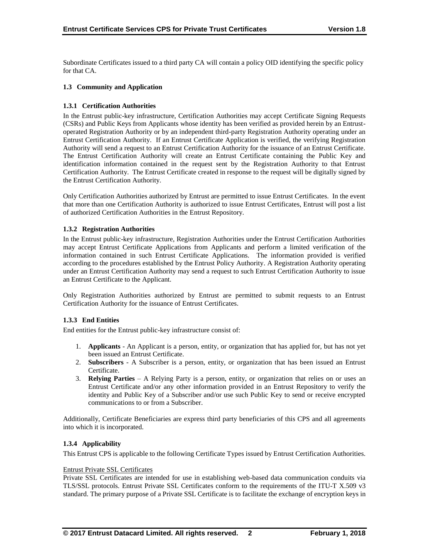Subordinate Certificates issued to a third party CA will contain a policy OID identifying the specific policy for that CA.

# **1.3 Community and Application**

# **1.3.1 Certification Authorities**

In the Entrust public-key infrastructure, Certification Authorities may accept Certificate Signing Requests (CSRs) and Public Keys from Applicants whose identity has been verified as provided herein by an Entrustoperated Registration Authority or by an independent third-party Registration Authority operating under an Entrust Certification Authority. If an Entrust Certificate Application is verified, the verifying Registration Authority will send a request to an Entrust Certification Authority for the issuance of an Entrust Certificate. The Entrust Certification Authority will create an Entrust Certificate containing the Public Key and identification information contained in the request sent by the Registration Authority to that Entrust Certification Authority. The Entrust Certificate created in response to the request will be digitally signed by the Entrust Certification Authority.

Only Certification Authorities authorized by Entrust are permitted to issue Entrust Certificates. In the event that more than one Certification Authority is authorized to issue Entrust Certificates, Entrust will post a list of authorized Certification Authorities in the Entrust Repository.

## **1.3.2 Registration Authorities**

In the Entrust public-key infrastructure, Registration Authorities under the Entrust Certification Authorities may accept Entrust Certificate Applications from Applicants and perform a limited verification of the information contained in such Entrust Certificate Applications. The information provided is verified according to the procedures established by the Entrust Policy Authority. A Registration Authority operating under an Entrust Certification Authority may send a request to such Entrust Certification Authority to issue an Entrust Certificate to the Applicant.

Only Registration Authorities authorized by Entrust are permitted to submit requests to an Entrust Certification Authority for the issuance of Entrust Certificates.

## **1.3.3 End Entities**

End entities for the Entrust public-key infrastructure consist of:

- 1. **Applicants** An Applicant is a person, entity, or organization that has applied for, but has not yet been issued an Entrust Certificate.
- 2. **Subscribers**  A Subscriber is a person, entity, or organization that has been issued an Entrust Certificate.
- 3. **Relying Parties**  A Relying Party is a person, entity, or organization that relies on or uses an Entrust Certificate and/or any other information provided in an Entrust Repository to verify the identity and Public Key of a Subscriber and/or use such Public Key to send or receive encrypted communications to or from a Subscriber.

Additionally, Certificate Beneficiaries are express third party beneficiaries of this CPS and all agreements into which it is incorporated.

## **1.3.4 Applicability**

This Entrust CPS is applicable to the following Certificate Types issued by Entrust Certification Authorities.

## Entrust Private SSL Certificates

Private SSL Certificates are intended for use in establishing web-based data communication conduits via TLS/SSL protocols. Entrust Private SSL Certificates conform to the requirements of the ITU-T X.509 v3 standard. The primary purpose of a Private SSL Certificate is to facilitate the exchange of encryption keys in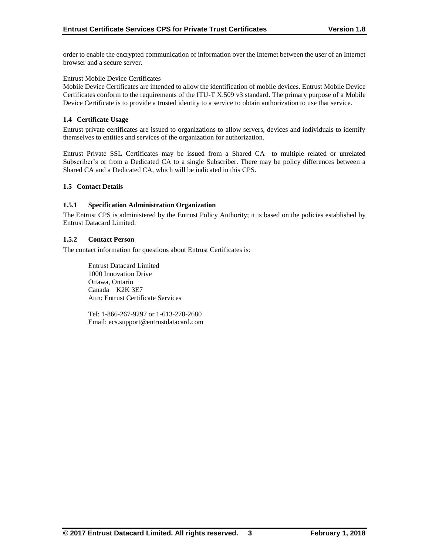order to enable the encrypted communication of information over the Internet between the user of an Internet browser and a secure server.

## Entrust Mobile Device Certificates

Mobile Device Certificates are intended to allow the identification of mobile devices. Entrust Mobile Device Certificates conform to the requirements of the ITU-T X.509 v3 standard. The primary purpose of a Mobile Device Certificate is to provide a trusted identity to a service to obtain authorization to use that service.

## **1.4 Certificate Usage**

Entrust private certificates are issued to organizations to allow servers, devices and individuals to identify themselves to entities and services of the organization for authorization.

Entrust Private SSL Certificates may be issued from a Shared CA to multiple related or unrelated Subscriber's or from a Dedicated CA to a single Subscriber. There may be policy differences between a Shared CA and a Dedicated CA, which will be indicated in this CPS.

# **1.5 Contact Details**

# **1.5.1 Specification Administration Organization**

The Entrust CPS is administered by the Entrust Policy Authority; it is based on the policies established by Entrust Datacard Limited.

#### **1.5.2 Contact Person**

The contact information for questions about Entrust Certificates is:

Entrust Datacard Limited 1000 Innovation Drive Ottawa, Ontario Canada K2K 3E7 Attn: Entrust Certificate Services

Tel: 1-866-267-9297 or 1-613-270-2680 Email: ecs.support@entrustdatacard.com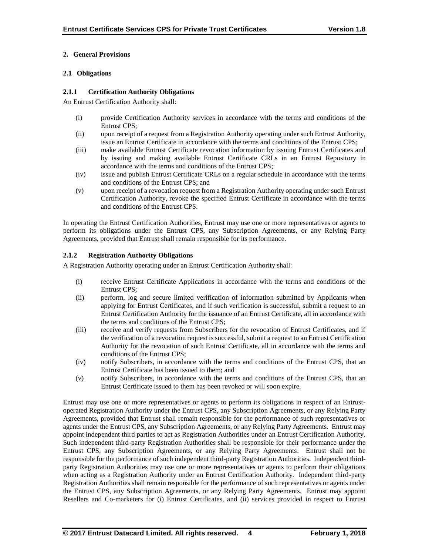# **2. General Provisions**

# **2.1 Obligations**

# **2.1.1 Certification Authority Obligations**

An Entrust Certification Authority shall:

- (i) provide Certification Authority services in accordance with the terms and conditions of the Entrust CPS;
- (ii) upon receipt of a request from a Registration Authority operating under such Entrust Authority, issue an Entrust Certificate in accordance with the terms and conditions of the Entrust CPS;
- (iii) make available Entrust Certificate revocation information by issuing Entrust Certificates and by issuing and making available Entrust Certificate CRLs in an Entrust Repository in accordance with the terms and conditions of the Entrust CPS;
- (iv) issue and publish Entrust Certificate CRLs on a regular schedule in accordance with the terms and conditions of the Entrust CPS; and
- (v) upon receipt of a revocation request from a Registration Authority operating under such Entrust Certification Authority, revoke the specified Entrust Certificate in accordance with the terms and conditions of the Entrust CPS.

In operating the Entrust Certification Authorities, Entrust may use one or more representatives or agents to perform its obligations under the Entrust CPS, any Subscription Agreements, or any Relying Party Agreements, provided that Entrust shall remain responsible for its performance.

# **2.1.2 Registration Authority Obligations**

A Registration Authority operating under an Entrust Certification Authority shall:

- (i) receive Entrust Certificate Applications in accordance with the terms and conditions of the Entrust CPS;
- (ii) perform, log and secure limited verification of information submitted by Applicants when applying for Entrust Certificates, and if such verification is successful, submit a request to an Entrust Certification Authority for the issuance of an Entrust Certificate, all in accordance with the terms and conditions of the Entrust CPS;
- (iii) receive and verify requests from Subscribers for the revocation of Entrust Certificates, and if the verification of a revocation request is successful, submit a request to an Entrust Certification Authority for the revocation of such Entrust Certificate, all in accordance with the terms and conditions of the Entrust CPS;
- (iv) notify Subscribers, in accordance with the terms and conditions of the Entrust CPS, that an Entrust Certificate has been issued to them; and
- (v) notify Subscribers, in accordance with the terms and conditions of the Entrust CPS, that an Entrust Certificate issued to them has been revoked or will soon expire.

Entrust may use one or more representatives or agents to perform its obligations in respect of an Entrustoperated Registration Authority under the Entrust CPS, any Subscription Agreements, or any Relying Party Agreements, provided that Entrust shall remain responsible for the performance of such representatives or agents under the Entrust CPS, any Subscription Agreements, or any Relying Party Agreements. Entrust may appoint independent third parties to act as Registration Authorities under an Entrust Certification Authority. Such independent third-party Registration Authorities shall be responsible for their performance under the Entrust CPS, any Subscription Agreements, or any Relying Party Agreements. Entrust shall not be responsible for the performance of such independent third-party Registration Authorities. Independent thirdparty Registration Authorities may use one or more representatives or agents to perform their obligations when acting as a Registration Authority under an Entrust Certification Authority. Independent third-party Registration Authorities shall remain responsible for the performance of such representatives or agents under the Entrust CPS, any Subscription Agreements, or any Relying Party Agreements. Entrust may appoint Resellers and Co-marketers for (i) Entrust Certificates, and (ii) services provided in respect to Entrust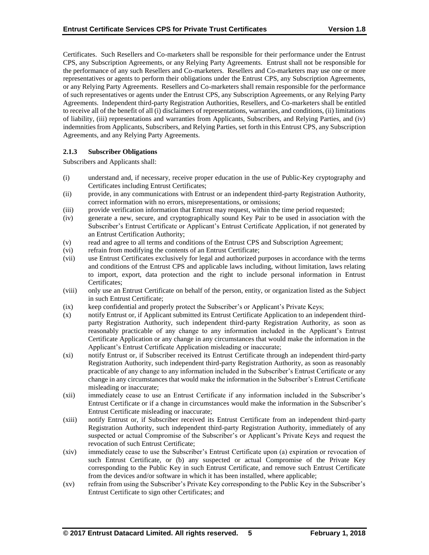Certificates. Such Resellers and Co-marketers shall be responsible for their performance under the Entrust CPS, any Subscription Agreements, or any Relying Party Agreements. Entrust shall not be responsible for the performance of any such Resellers and Co-marketers. Resellers and Co-marketers may use one or more representatives or agents to perform their obligations under the Entrust CPS, any Subscription Agreements, or any Relying Party Agreements. Resellers and Co-marketers shall remain responsible for the performance of such representatives or agents under the Entrust CPS, any Subscription Agreements, or any Relying Party Agreements. Independent third-party Registration Authorities, Resellers, and Co-marketers shall be entitled to receive all of the benefit of all (i) disclaimers of representations, warranties, and conditions, (ii) limitations of liability, (iii) representations and warranties from Applicants, Subscribers, and Relying Parties, and (iv) indemnities from Applicants, Subscribers, and Relying Parties, set forth in this Entrust CPS, any Subscription Agreements, and any Relying Party Agreements.

# **2.1.3 Subscriber Obligations**

Subscribers and Applicants shall:

- (i) understand and, if necessary, receive proper education in the use of Public-Key cryptography and Certificates including Entrust Certificates;
- (ii) provide, in any communications with Entrust or an independent third-party Registration Authority, correct information with no errors, misrepresentations, or omissions;
- (iii) provide verification information that Entrust may request, within the time period requested;
- (iv) generate a new, secure, and cryptographically sound Key Pair to be used in association with the Subscriber's Entrust Certificate or Applicant's Entrust Certificate Application, if not generated by an Entrust Certification Authority;
- (v) read and agree to all terms and conditions of the Entrust CPS and Subscription Agreement;
- (vi) refrain from modifying the contents of an Entrust Certificate;
- (vii) use Entrust Certificates exclusively for legal and authorized purposes in accordance with the terms and conditions of the Entrust CPS and applicable laws including, without limitation, laws relating to import, export, data protection and the right to include personal information in Entrust Certificates;
- (viii) only use an Entrust Certificate on behalf of the person, entity, or organization listed as the Subject in such Entrust Certificate;
- (ix) keep confidential and properly protect the Subscriber's or Applicant's Private Keys;
- (x) notify Entrust or, if Applicant submitted its Entrust Certificate Application to an independent thirdparty Registration Authority, such independent third-party Registration Authority, as soon as reasonably practicable of any change to any information included in the Applicant's Entrust Certificate Application or any change in any circumstances that would make the information in the Applicant's Entrust Certificate Application misleading or inaccurate;
- (xi) notify Entrust or, if Subscriber received its Entrust Certificate through an independent third-party Registration Authority, such independent third-party Registration Authority, as soon as reasonably practicable of any change to any information included in the Subscriber's Entrust Certificate or any change in any circumstances that would make the information in the Subscriber's Entrust Certificate misleading or inaccurate;
- (xii) immediately cease to use an Entrust Certificate if any information included in the Subscriber's Entrust Certificate or if a change in circumstances would make the information in the Subscriber's Entrust Certificate misleading or inaccurate;
- (xiii) notify Entrust or, if Subscriber received its Entrust Certificate from an independent third-party Registration Authority, such independent third-party Registration Authority, immediately of any suspected or actual Compromise of the Subscriber's or Applicant's Private Keys and request the revocation of such Entrust Certificate;
- (xiv) immediately cease to use the Subscriber's Entrust Certificate upon (a) expiration or revocation of such Entrust Certificate, or (b) any suspected or actual Compromise of the Private Key corresponding to the Public Key in such Entrust Certificate, and remove such Entrust Certificate from the devices and/or software in which it has been installed, where applicable;
- (xv) refrain from using the Subscriber's Private Key corresponding to the Public Key in the Subscriber's Entrust Certificate to sign other Certificates; and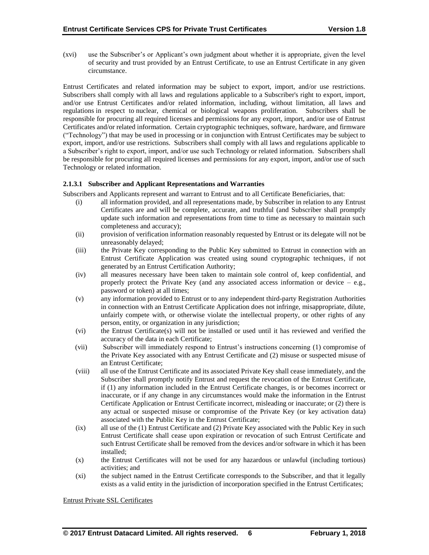(xvi) use the Subscriber's or Applicant's own judgment about whether it is appropriate, given the level of security and trust provided by an Entrust Certificate, to use an Entrust Certificate in any given circumstance.

Entrust Certificates and related information may be subject to export, import, and/or use restrictions. Subscribers shall comply with all laws and regulations applicable to a Subscriber's right to export, import, and/or use Entrust Certificates and/or related information, including, without limitation, all laws and regulations in respect to nuclear, chemical or biological weapons proliferation. Subscribers shall be responsible for procuring all required licenses and permissions for any export, import, and/or use of Entrust Certificates and/or related information. Certain cryptographic techniques, software, hardware, and firmware ("Technology") that may be used in processing or in conjunction with Entrust Certificates may be subject to export, import, and/or use restrictions. Subscribers shall comply with all laws and regulations applicable to a Subscriber's right to export, import, and/or use such Technology or related information. Subscribers shall be responsible for procuring all required licenses and permissions for any export, import, and/or use of such Technology or related information.

## **2.1.3.1 Subscriber and Applicant Representations and Warranties**

Subscribers and Applicants represent and warrant to Entrust and to all Certificate Beneficiaries, that:

- (i) all information provided, and all representations made, by Subscriber in relation to any Entrust Certificates are and will be complete, accurate, and truthful (and Subscriber shall promptly update such information and representations from time to time as necessary to maintain such completeness and accuracy);
- (ii) provision of verification information reasonably requested by Entrust or its delegate will not be unreasonably delayed;
- (iii) the Private Key corresponding to the Public Key submitted to Entrust in connection with an Entrust Certificate Application was created using sound cryptographic techniques, if not generated by an Entrust Certification Authority;
- (iv) all measures necessary have been taken to maintain sole control of, keep confidential, and properly protect the Private Key (and any associated access information or device  $-$  e.g., password or token) at all times;
- (v) any information provided to Entrust or to any independent third-party Registration Authorities in connection with an Entrust Certificate Application does not infringe, misappropriate, dilute, unfairly compete with, or otherwise violate the intellectual property, or other rights of any person, entity, or organization in any jurisdiction;
- (vi) the Entrust Certificate(s) will not be installed or used until it has reviewed and verified the accuracy of the data in each Certificate;
- (vii) Subscriber will immediately respond to Entrust's instructions concerning (1) compromise of the Private Key associated with any Entrust Certificate and (2) misuse or suspected misuse of an Entrust Certificate;
- (viii) all use of the Entrust Certificate and its associated Private Key shall cease immediately, and the Subscriber shall promptly notify Entrust and request the revocation of the Entrust Certificate, if (1) any information included in the Entrust Certificate changes, is or becomes incorrect or inaccurate, or if any change in any circumstances would make the information in the Entrust Certificate Application or Entrust Certificate incorrect, misleading or inaccurate; or (2) there is any actual or suspected misuse or compromise of the Private Key (or key activation data) associated with the Public Key in the Entrust Certificate;
- (ix) all use of the (1) Entrust Certificate and (2) Private Key associated with the Public Key in such Entrust Certificate shall cease upon expiration or revocation of such Entrust Certificate and such Entrust Certificate shall be removed from the devices and/or software in which it has been installed;
- (x) the Entrust Certificates will not be used for any hazardous or unlawful (including tortious) activities; and
- (xi) the subject named in the Entrust Certificate corresponds to the Subscriber, and that it legally exists as a valid entity in the jurisdiction of incorporation specified in the Entrust Certificates;

Entrust Private SSL Certificates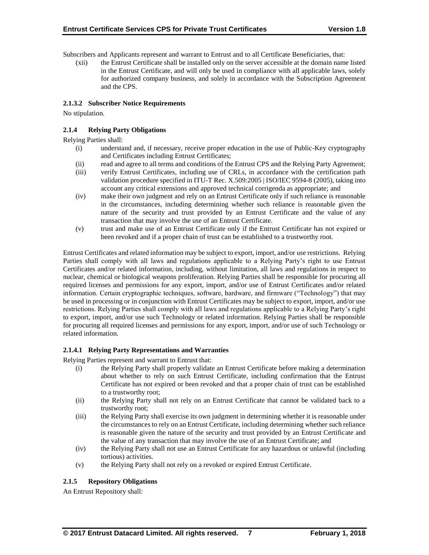Subscribers and Applicants represent and warrant to Entrust and to all Certificate Beneficiaries, that:

(xii) the Entrust Certificate shall be installed only on the server accessible at the domain name listed in the Entrust Certificate, and will only be used in compliance with all applicable laws, solely for authorized company business, and solely in accordance with the Subscription Agreement and the CPS.

# **2.1.3.2 Subscriber Notice Requirements**

No stipulation.

# **2.1.4 Relying Party Obligations**

Relying Parties shall:

- (i) understand and, if necessary, receive proper education in the use of Public-Key cryptography and Certificates including Entrust Certificates;
- (ii) read and agree to all terms and conditions of the Entrust CPS and the Relying Party Agreement;
- (iii) verify Entrust Certificates, including use of CRLs, in accordance with the certification path validation procedure specified in ITU-T Rec. X.509:2005 | ISO/IEC 9594-8 (2005), taking into account any critical extensions and approved technical corrigenda as appropriate; and
- (iv) make their own judgment and rely on an Entrust Certificate only if such reliance is reasonable in the circumstances, including determining whether such reliance is reasonable given the nature of the security and trust provided by an Entrust Certificate and the value of any transaction that may involve the use of an Entrust Certificate.
- (v) trust and make use of an Entrust Certificate only if the Entrust Certificate has not expired or been revoked and if a proper chain of trust can be established to a trustworthy root.

Entrust Certificates and related information may be subject to export, import, and/or use restrictions. Relying Parties shall comply with all laws and regulations applicable to a Relying Party's right to use Entrust Certificates and/or related information, including, without limitation, all laws and regulations in respect to nuclear, chemical or biological weapons proliferation. Relying Parties shall be responsible for procuring all required licenses and permissions for any export, import, and/or use of Entrust Certificates and/or related information. Certain cryptographic techniques, software, hardware, and firmware ("Technology") that may be used in processing or in conjunction with Entrust Certificates may be subject to export, import, and/or use restrictions. Relying Parties shall comply with all laws and regulations applicable to a Relying Party's right to export, import, and/or use such Technology or related information. Relying Parties shall be responsible for procuring all required licenses and permissions for any export, import, and/or use of such Technology or related information.

## **2.1.4.1 Relying Party Representations and Warranties**

Relying Parties represent and warrant to Entrust that:

- (i) the Relying Party shall properly validate an Entrust Certificate before making a determination about whether to rely on such Entrust Certificate, including confirmation that the Entrust Certificate has not expired or been revoked and that a proper chain of trust can be established to a trustworthy root;
- (ii) the Relying Party shall not rely on an Entrust Certificate that cannot be validated back to a trustworthy root;
- (iii) the Relying Party shall exercise its own judgment in determining whether it is reasonable under the circumstances to rely on an Entrust Certificate, including determining whether such reliance is reasonable given the nature of the security and trust provided by an Entrust Certificate and the value of any transaction that may involve the use of an Entrust Certificate; and
- (iv) the Relying Party shall not use an Entrust Certificate for any hazardous or unlawful (including tortious) activities.
- (v) the Relying Party shall not rely on a revoked or expired Entrust Certificate.

# **2.1.5 Repository Obligations**

An Entrust Repository shall: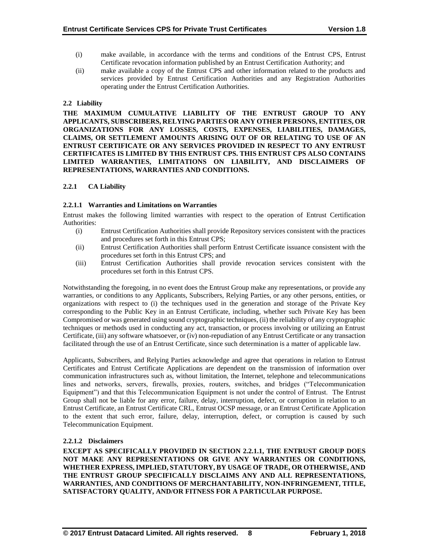- (i) make available, in accordance with the terms and conditions of the Entrust CPS, Entrust Certificate revocation information published by an Entrust Certification Authority; and
- (ii) make available a copy of the Entrust CPS and other information related to the products and services provided by Entrust Certification Authorities and any Registration Authorities operating under the Entrust Certification Authorities.

# **2.2 Liability**

**THE MAXIMUM CUMULATIVE LIABILITY OF THE ENTRUST GROUP TO ANY APPLICANTS, SUBSCRIBERS, RELYING PARTIES OR ANY OTHER PERSONS, ENTITIES, OR ORGANIZATIONS FOR ANY LOSSES, COSTS, EXPENSES, LIABILITIES, DAMAGES, CLAIMS, OR SETTLEMENT AMOUNTS ARISING OUT OF OR RELATING TO USE OF AN ENTRUST CERTIFICATE OR ANY SERVICES PROVIDED IN RESPECT TO ANY ENTRUST CERTIFICATES IS LIMITED BY THIS ENTRUST CPS. THIS ENTRUST CPS ALSO CONTAINS LIMITED WARRANTIES, LIMITATIONS ON LIABILITY, AND DISCLAIMERS OF REPRESENTATIONS, WARRANTIES AND CONDITIONS.**

# **2.2.1 CA Liability**

## **2.2.1.1 Warranties and Limitations on Warranties**

Entrust makes the following limited warranties with respect to the operation of Entrust Certification Authorities:

- (i) Entrust Certification Authorities shall provide Repository services consistent with the practices and procedures set forth in this Entrust CPS;
- (ii) Entrust Certification Authorities shall perform Entrust Certificate issuance consistent with the procedures set forth in this Entrust CPS; and
- (iii) Entrust Certification Authorities shall provide revocation services consistent with the procedures set forth in this Entrust CPS.

Notwithstanding the foregoing, in no event does the Entrust Group make any representations, or provide any warranties, or conditions to any Applicants, Subscribers, Relying Parties, or any other persons, entities, or organizations with respect to (i) the techniques used in the generation and storage of the Private Key corresponding to the Public Key in an Entrust Certificate, including, whether such Private Key has been Compromised or was generated using sound cryptographic techniques, (ii) the reliability of any cryptographic techniques or methods used in conducting any act, transaction, or process involving or utilizing an Entrust Certificate, (iii) any software whatsoever, or (iv) non-repudiation of any Entrust Certificate or any transaction facilitated through the use of an Entrust Certificate, since such determination is a matter of applicable law.

Applicants, Subscribers, and Relying Parties acknowledge and agree that operations in relation to Entrust Certificates and Entrust Certificate Applications are dependent on the transmission of information over communication infrastructures such as, without limitation, the Internet, telephone and telecommunications lines and networks, servers, firewalls, proxies, routers, switches, and bridges ("Telecommunication Equipment") and that this Telecommunication Equipment is not under the control of Entrust. The Entrust Group shall not be liable for any error, failure, delay, interruption, defect, or corruption in relation to an Entrust Certificate, an Entrust Certificate CRL, Entrust OCSP message, or an Entrust Certificate Application to the extent that such error, failure, delay, interruption, defect, or corruption is caused by such Telecommunication Equipment.

# **2.2.1.2 Disclaimers**

**EXCEPT AS SPECIFICALLY PROVIDED IN SECTION 2.2.1.1, THE ENTRUST GROUP DOES NOT MAKE ANY REPRESENTATIONS OR GIVE ANY WARRANTIES OR CONDITIONS, WHETHER EXPRESS, IMPLIED, STATUTORY, BY USAGE OF TRADE, OR OTHERWISE, AND THE ENTRUST GROUP SPECIFICALLY DISCLAIMS ANY AND ALL REPRESENTATIONS, WARRANTIES, AND CONDITIONS OF MERCHANTABILITY, NON-INFRINGEMENT, TITLE, SATISFACTORY QUALITY, AND/OR FITNESS FOR A PARTICULAR PURPOSE.**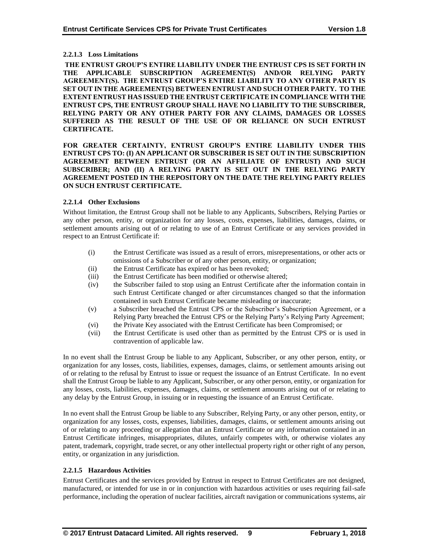# **2.2.1.3 Loss Limitations**

**THE ENTRUST GROUP'S ENTIRE LIABILITY UNDER THE ENTRUST CPS IS SET FORTH IN THE APPLICABLE SUBSCRIPTION AGREEMENT(S) AND/OR RELYING PARTY AGREEMENT(S). THE ENTRUST GROUP'S ENTIRE LIABILITY TO ANY OTHER PARTY IS SET OUT IN THE AGREEMENT(S) BETWEEN ENTRUST AND SUCH OTHER PARTY. TO THE EXTENT ENTRUST HAS ISSUED THE ENTRUST CERTIFICATE IN COMPLIANCE WITH THE ENTRUST CPS, THE ENTRUST GROUP SHALL HAVE NO LIABILITY TO THE SUBSCRIBER, RELYING PARTY OR ANY OTHER PARTY FOR ANY CLAIMS, DAMAGES OR LOSSES SUFFERED AS THE RESULT OF THE USE OF OR RELIANCE ON SUCH ENTRUST CERTIFICATE.**

**FOR GREATER CERTAINTY, ENTRUST GROUP'S ENTIRE LIABILITY UNDER THIS ENTRUST CPS TO: (I) AN APPLICANT OR SUBSCRIBER IS SET OUT IN THE SUBSCRIPTION AGREEMENT BETWEEN ENTRUST (OR AN AFFILIATE OF ENTRUST) AND SUCH SUBSCRIBER; AND (II) A RELYING PARTY IS SET OUT IN THE RELYING PARTY AGREEMENT POSTED IN THE REPOSITORY ON THE DATE THE RELYING PARTY RELIES ON SUCH ENTRUST CERTIFICATE.**

## **2.2.1.4 Other Exclusions**

Without limitation, the Entrust Group shall not be liable to any Applicants, Subscribers, Relying Parties or any other person, entity, or organization for any losses, costs, expenses, liabilities, damages, claims, or settlement amounts arising out of or relating to use of an Entrust Certificate or any services provided in respect to an Entrust Certificate if:

- (i) the Entrust Certificate was issued as a result of errors, misrepresentations, or other acts or omissions of a Subscriber or of any other person, entity, or organization;
- (ii) the Entrust Certificate has expired or has been revoked;
- (iii) the Entrust Certificate has been modified or otherwise altered;
- (iv) the Subscriber failed to stop using an Entrust Certificate after the information contain in such Entrust Certificate changed or after circumstances changed so that the information contained in such Entrust Certificate became misleading or inaccurate;
- (v) a Subscriber breached the Entrust CPS or the Subscriber's Subscription Agreement, or a Relying Party breached the Entrust CPS or the Relying Party's Relying Party Agreement;
- (vi) the Private Key associated with the Entrust Certificate has been Compromised; or
- (vii) the Entrust Certificate is used other than as permitted by the Entrust CPS or is used in contravention of applicable law.

In no event shall the Entrust Group be liable to any Applicant, Subscriber, or any other person, entity, or organization for any losses, costs, liabilities, expenses, damages, claims, or settlement amounts arising out of or relating to the refusal by Entrust to issue or request the issuance of an Entrust Certificate. In no event shall the Entrust Group be liable to any Applicant, Subscriber, or any other person, entity, or organization for any losses, costs, liabilities, expenses, damages, claims, or settlement amounts arising out of or relating to any delay by the Entrust Group, in issuing or in requesting the issuance of an Entrust Certificate.

In no event shall the Entrust Group be liable to any Subscriber, Relying Party, or any other person, entity, or organization for any losses, costs, expenses, liabilities, damages, claims, or settlement amounts arising out of or relating to any proceeding or allegation that an Entrust Certificate or any information contained in an Entrust Certificate infringes, misappropriates, dilutes, unfairly competes with, or otherwise violates any patent, trademark, copyright, trade secret, or any other intellectual property right or other right of any person, entity, or organization in any jurisdiction.

## **2.2.1.5 Hazardous Activities**

Entrust Certificates and the services provided by Entrust in respect to Entrust Certificates are not designed, manufactured, or intended for use in or in conjunction with hazardous activities or uses requiring fail-safe performance, including the operation of nuclear facilities, aircraft navigation or communications systems, air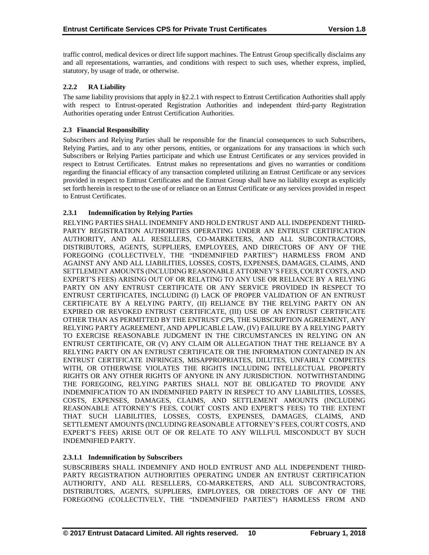traffic control, medical devices or direct life support machines. The Entrust Group specifically disclaims any and all representations, warranties, and conditions with respect to such uses, whether express, implied, statutory, by usage of trade, or otherwise.

# **2.2.2 RA Liability**

The same liability provisions that apply in §2.2.1 with respect to Entrust Certification Authorities shall apply with respect to Entrust-operated Registration Authorities and independent third-party Registration Authorities operating under Entrust Certification Authorities.

# **2.3 Financial Responsibility**

Subscribers and Relying Parties shall be responsible for the financial consequences to such Subscribers, Relying Parties, and to any other persons, entities, or organizations for any transactions in which such Subscribers or Relying Parties participate and which use Entrust Certificates or any services provided in respect to Entrust Certificates. Entrust makes no representations and gives no warranties or conditions regarding the financial efficacy of any transaction completed utilizing an Entrust Certificate or any services provided in respect to Entrust Certificates and the Entrust Group shall have no liability except as explicitly set forth herein in respect to the use of or reliance on an Entrust Certificate or any services provided in respect to Entrust Certificates.

# **2.3.1 Indemnification by Relying Parties**

RELYING PARTIES SHALL INDEMNIFY AND HOLD ENTRUST AND ALL INDEPENDENT THIRD-PARTY REGISTRATION AUTHORITIES OPERATING UNDER AN ENTRUST CERTIFICATION AUTHORITY, AND ALL RESELLERS, CO-MARKETERS, AND ALL SUBCONTRACTORS, DISTRIBUTORS, AGENTS, SUPPLIERS, EMPLOYEES, AND DIRECTORS OF ANY OF THE FOREGOING (COLLECTIVELY, THE "INDEMNIFIED PARTIES") HARMLESS FROM AND AGAINST ANY AND ALL LIABILITIES, LOSSES, COSTS, EXPENSES, DAMAGES, CLAIMS, AND SETTLEMENT AMOUNTS (INCLUDING REASONABLE ATTORNEY'S FEES, COURT COSTS, AND EXPERT'S FEES) ARISING OUT OF OR RELATING TO ANY USE OR RELIANCE BY A RELYING PARTY ON ANY ENTRUST CERTIFICATE OR ANY SERVICE PROVIDED IN RESPECT TO ENTRUST CERTIFICATES, INCLUDING (I) LACK OF PROPER VALIDATION OF AN ENTRUST CERTIFICATE BY A RELYING PARTY, (II) RELIANCE BY THE RELYING PARTY ON AN EXPIRED OR REVOKED ENTRUST CERTIFICATE, (III) USE OF AN ENTRUST CERTIFICATE OTHER THAN AS PERMITTED BY THE ENTRUST CPS, THE SUBSCRIPTION AGREEMENT, ANY RELYING PARTY AGREEMENT, AND APPLICABLE LAW, (IV) FAILURE BY A RELYING PARTY TO EXERCISE REASONABLE JUDGMENT IN THE CIRCUMSTANCES IN RELYING ON AN ENTRUST CERTIFICATE, OR (V) ANY CLAIM OR ALLEGATION THAT THE RELIANCE BY A RELYING PARTY ON AN ENTRUST CERTIFICATE OR THE INFORMATION CONTAINED IN AN ENTRUST CERTIFICATE INFRINGES, MISAPPROPRIATES, DILUTES, UNFAIRLY COMPETES WITH, OR OTHERWISE VIOLATES THE RIGHTS INCLUDING INTELLECTUAL PROPERTY RIGHTS OR ANY OTHER RIGHTS OF ANYONE IN ANY JURISDICTION. NOTWITHSTANDING THE FOREGOING, RELYING PARTIES SHALL NOT BE OBLIGATED TO PROVIDE ANY INDEMNIFICATION TO AN INDEMNIFIED PARTY IN RESPECT TO ANY LIABILITIES, LOSSES, COSTS, EXPENSES, DAMAGES, CLAIMS, AND SETTLEMENT AMOUNTS (INCLUDING REASONABLE ATTORNEY'S FEES, COURT COSTS AND EXPERT'S FEES) TO THE EXTENT THAT SUCH LIABILITIES, LOSSES, COSTS, EXPENSES, DAMAGES, CLAIMS, AND SETTLEMENT AMOUNTS (INCLUDING REASONABLE ATTORNEY'S FEES, COURT COSTS, AND EXPERT'S FEES) ARISE OUT OF OR RELATE TO ANY WILLFUL MISCONDUCT BY SUCH INDEMNIFIED PARTY.

# **2.3.1.1 Indemnification by Subscribers**

SUBSCRIBERS SHALL INDEMNIFY AND HOLD ENTRUST AND ALL INDEPENDENT THIRD-PARTY REGISTRATION AUTHORITIES OPERATING UNDER AN ENTRUST CERTIFICATION AUTHORITY, AND ALL RESELLERS, CO-MARKETERS, AND ALL SUBCONTRACTORS, DISTRIBUTORS, AGENTS, SUPPLIERS, EMPLOYEES, OR DIRECTORS OF ANY OF THE FOREGOING (COLLECTIVELY, THE "INDEMNIFIED PARTIES") HARMLESS FROM AND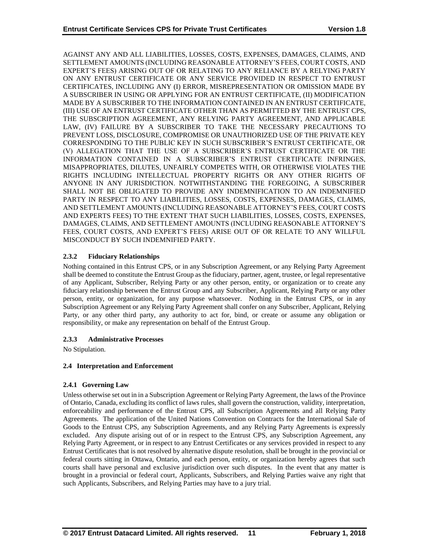AGAINST ANY AND ALL LIABILITIES, LOSSES, COSTS, EXPENSES, DAMAGES, CLAIMS, AND SETTLEMENT AMOUNTS (INCLUDING REASONABLE ATTORNEY'S FEES, COURT COSTS, AND EXPERT'S FEES) ARISING OUT OF OR RELATING TO ANY RELIANCE BY A RELYING PARTY ON ANY ENTRUST CERTIFICATE OR ANY SERVICE PROVIDED IN RESPECT TO ENTRUST CERTIFICATES, INCLUDING ANY (I) ERROR, MISREPRESENTATION OR OMISSION MADE BY A SUBSCRIBER IN USING OR APPLYING FOR AN ENTRUST CERTIFICATE, (II) MODIFICATION MADE BY A SUBSCRIBER TO THE INFORMATION CONTAINED IN AN ENTRUST CERTIFICATE, (III) USE OF AN ENTRUST CERTIFICATE OTHER THAN AS PERMITTED BY THE ENTRUST CPS, THE SUBSCRIPTION AGREEMENT, ANY RELYING PARTY AGREEMENT, AND APPLICABLE LAW, (IV) FAILURE BY A SUBSCRIBER TO TAKE THE NECESSARY PRECAUTIONS TO PREVENT LOSS, DISCLOSURE, COMPROMISE OR UNAUTHORIZED USE OF THE PRIVATE KEY CORRESPONDING TO THE PUBLIC KEY IN SUCH SUBSCRIBER'S ENTRUST CERTIFICATE, OR (V) ALLEGATION THAT THE USE OF A SUBSCRIBER'S ENTRUST CERTIFICATE OR THE INFORMATION CONTAINED IN A SUBSCRIBER'S ENTRUST CERTIFICATE INFRINGES, MISAPPROPRIATES, DILUTES, UNFAIRLY COMPETES WITH, OR OTHERWISE VIOLATES THE RIGHTS INCLUDING INTELLECTUAL PROPERTY RIGHTS OR ANY OTHER RIGHTS OF ANYONE IN ANY JURISDICTION. NOTWITHSTANDING THE FOREGOING, A SUBSCRIBER SHALL NOT BE OBLIGATED TO PROVIDE ANY INDEMNIFICATION TO AN INDEMNIFIED PARTY IN RESPECT TO ANY LIABILITIES, LOSSES, COSTS, EXPENSES, DAMAGES, CLAIMS, AND SETTLEMENT AMOUNTS (INCLUDING REASONABLE ATTORNEY'S FEES, COURT COSTS AND EXPERTS FEES) TO THE EXTENT THAT SUCH LIABILITIES, LOSSES, COSTS, EXPENSES, DAMAGES, CLAIMS, AND SETTLEMENT AMOUNTS (INCLUDING REASONABLE ATTORNEY'S FEES, COURT COSTS, AND EXPERT'S FEES) ARISE OUT OF OR RELATE TO ANY WILLFUL MISCONDUCT BY SUCH INDEMNIFIED PARTY.

# **2.3.2 Fiduciary Relationships**

Nothing contained in this Entrust CPS, or in any Subscription Agreement, or any Relying Party Agreement shall be deemed to constitute the Entrust Group as the fiduciary, partner, agent, trustee, or legal representative of any Applicant, Subscriber, Relying Party or any other person, entity, or organization or to create any fiduciary relationship between the Entrust Group and any Subscriber, Applicant, Relying Party or any other person, entity, or organization, for any purpose whatsoever. Nothing in the Entrust CPS, or in any Subscription Agreement or any Relying Party Agreement shall confer on any Subscriber, Applicant, Relying Party, or any other third party, any authority to act for, bind, or create or assume any obligation or responsibility, or make any representation on behalf of the Entrust Group.

# **2.3.3 Administrative Processes**

No Stipulation.

# **2.4 Interpretation and Enforcement**

## **2.4.1 Governing Law**

Unless otherwise set out in in a Subscription Agreement or Relying Party Agreement, the laws of the Province of Ontario, Canada, excluding its conflict of laws rules, shall govern the construction, validity, interpretation, enforceability and performance of the Entrust CPS, all Subscription Agreements and all Relying Party Agreements. The application of the United Nations Convention on Contracts for the International Sale of Goods to the Entrust CPS, any Subscription Agreements, and any Relying Party Agreements is expressly excluded. Any dispute arising out of or in respect to the Entrust CPS, any Subscription Agreement, any Relying Party Agreement, or in respect to any Entrust Certificates or any services provided in respect to any Entrust Certificates that is not resolved by alternative dispute resolution, shall be brought in the provincial or federal courts sitting in Ottawa, Ontario, and each person, entity, or organization hereby agrees that such courts shall have personal and exclusive jurisdiction over such disputes. In the event that any matter is brought in a provincial or federal court, Applicants, Subscribers, and Relying Parties waive any right that such Applicants, Subscribers, and Relying Parties may have to a jury trial.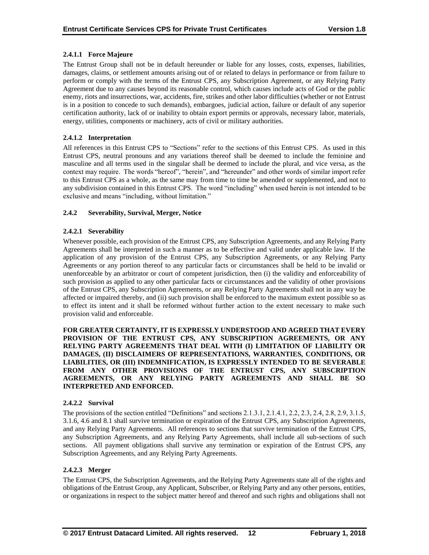# **2.4.1.1 Force Majeure**

The Entrust Group shall not be in default hereunder or liable for any losses, costs, expenses, liabilities, damages, claims, or settlement amounts arising out of or related to delays in performance or from failure to perform or comply with the terms of the Entrust CPS, any Subscription Agreement, or any Relying Party Agreement due to any causes beyond its reasonable control, which causes include acts of God or the public enemy, riots and insurrections, war, accidents, fire, strikes and other labor difficulties (whether or not Entrust is in a position to concede to such demands), embargoes, judicial action, failure or default of any superior certification authority, lack of or inability to obtain export permits or approvals, necessary labor, materials, energy, utilities, components or machinery, acts of civil or military authorities.

# **2.4.1.2 Interpretation**

All references in this Entrust CPS to "Sections" refer to the sections of this Entrust CPS. As used in this Entrust CPS, neutral pronouns and any variations thereof shall be deemed to include the feminine and masculine and all terms used in the singular shall be deemed to include the plural, and vice versa, as the context may require. The words "hereof", "herein", and "hereunder" and other words of similar import refer to this Entrust CPS as a whole, as the same may from time to time be amended or supplemented, and not to any subdivision contained in this Entrust CPS. The word "including" when used herein is not intended to be exclusive and means "including, without limitation."

# **2.4.2 Severability, Survival, Merger, Notice**

# **2.4.2.1 Severability**

Whenever possible, each provision of the Entrust CPS, any Subscription Agreements, and any Relying Party Agreements shall be interpreted in such a manner as to be effective and valid under applicable law. If the application of any provision of the Entrust CPS, any Subscription Agreements, or any Relying Party Agreements or any portion thereof to any particular facts or circumstances shall be held to be invalid or unenforceable by an arbitrator or court of competent jurisdiction, then (i) the validity and enforceability of such provision as applied to any other particular facts or circumstances and the validity of other provisions of the Entrust CPS, any Subscription Agreements, or any Relying Party Agreements shall not in any way be affected or impaired thereby, and (ii) such provision shall be enforced to the maximum extent possible so as to effect its intent and it shall be reformed without further action to the extent necessary to make such provision valid and enforceable.

**FOR GREATER CERTAINTY, IT IS EXPRESSLY UNDERSTOOD AND AGREED THAT EVERY PROVISION OF THE ENTRUST CPS, ANY SUBSCRIPTION AGREEMENTS, OR ANY RELYING PARTY AGREEMENTS THAT DEAL WITH (I) LIMITATION OF LIABILITY OR DAMAGES, (II) DISCLAIMERS OF REPRESENTATIONS, WARRANTIES, CONDITIONS, OR LIABILITIES, OR (III) INDEMNIFICATION, IS EXPRESSLY INTENDED TO BE SEVERABLE FROM ANY OTHER PROVISIONS OF THE ENTRUST CPS, ANY SUBSCRIPTION AGREEMENTS, OR ANY RELYING PARTY AGREEMENTS AND SHALL BE SO INTERPRETED AND ENFORCED.**

## **2.4.2.2 Survival**

The provisions of the section entitled "Definitions" and sections 2.1.3.1, 2.1.4.1, 2.2, 2.3, 2.4, 2.8, 2.9, 3.1.5, 3.1.6, 4.6 and 8.1 shall survive termination or expiration of the Entrust CPS, any Subscription Agreements, and any Relying Party Agreements. All references to sections that survive termination of the Entrust CPS, any Subscription Agreements, and any Relying Party Agreements, shall include all sub-sections of such sections. All payment obligations shall survive any termination or expiration of the Entrust CPS, any Subscription Agreements, and any Relying Party Agreements.

## **2.4.2.3 Merger**

The Entrust CPS, the Subscription Agreements, and the Relying Party Agreements state all of the rights and obligations of the Entrust Group, any Applicant, Subscriber, or Relying Party and any other persons, entities, or organizations in respect to the subject matter hereof and thereof and such rights and obligations shall not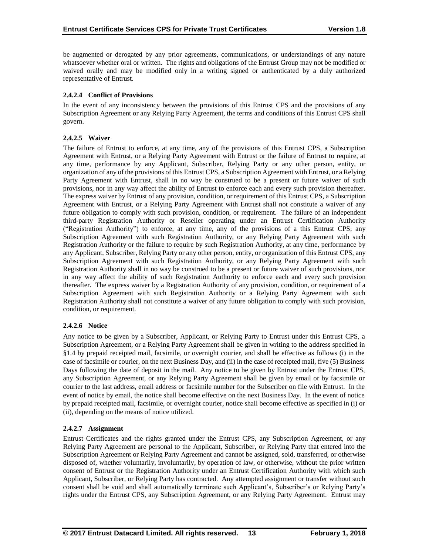be augmented or derogated by any prior agreements, communications, or understandings of any nature whatsoever whether oral or written. The rights and obligations of the Entrust Group may not be modified or waived orally and may be modified only in a writing signed or authenticated by a duly authorized representative of Entrust.

# **2.4.2.4 Conflict of Provisions**

In the event of any inconsistency between the provisions of this Entrust CPS and the provisions of any Subscription Agreement or any Relying Party Agreement, the terms and conditions of this Entrust CPS shall govern.

# **2.4.2.5 Waiver**

The failure of Entrust to enforce, at any time, any of the provisions of this Entrust CPS, a Subscription Agreement with Entrust, or a Relying Party Agreement with Entrust or the failure of Entrust to require, at any time, performance by any Applicant, Subscriber, Relying Party or any other person, entity, or organization of any of the provisions of this Entrust CPS, a Subscription Agreement with Entrust, or a Relying Party Agreement with Entrust, shall in no way be construed to be a present or future waiver of such provisions, nor in any way affect the ability of Entrust to enforce each and every such provision thereafter. The express waiver by Entrust of any provision, condition, or requirement of this Entrust CPS, a Subscription Agreement with Entrust, or a Relying Party Agreement with Entrust shall not constitute a waiver of any future obligation to comply with such provision, condition, or requirement. The failure of an independent third-party Registration Authority or Reseller operating under an Entrust Certification Authority ("Registration Authority") to enforce, at any time, any of the provisions of a this Entrust CPS, any Subscription Agreement with such Registration Authority, or any Relying Party Agreement with such Registration Authority or the failure to require by such Registration Authority, at any time, performance by any Applicant, Subscriber, Relying Party or any other person, entity, or organization of this Entrust CPS, any Subscription Agreement with such Registration Authority, or any Relying Party Agreement with such Registration Authority shall in no way be construed to be a present or future waiver of such provisions, nor in any way affect the ability of such Registration Authority to enforce each and every such provision thereafter. The express waiver by a Registration Authority of any provision, condition, or requirement of a Subscription Agreement with such Registration Authority or a Relying Party Agreement with such Registration Authority shall not constitute a waiver of any future obligation to comply with such provision, condition, or requirement.

# **2.4.2.6 Notice**

Any notice to be given by a Subscriber, Applicant, or Relying Party to Entrust under this Entrust CPS, a Subscription Agreement, or a Relying Party Agreement shall be given in writing to the address specified in §1.4 by prepaid receipted mail, facsimile, or overnight courier, and shall be effective as follows (i) in the case of facsimile or courier, on the next Business Day, and (ii) in the case of receipted mail, five (5) Business Days following the date of deposit in the mail. Any notice to be given by Entrust under the Entrust CPS, any Subscription Agreement, or any Relying Party Agreement shall be given by email or by facsimile or courier to the last address, email address or facsimile number for the Subscriber on file with Entrust. In the event of notice by email, the notice shall become effective on the next Business Day. In the event of notice by prepaid receipted mail, facsimile, or overnight courier, notice shall become effective as specified in (i) or (ii), depending on the means of notice utilized.

# **2.4.2.7 Assignment**

Entrust Certificates and the rights granted under the Entrust CPS, any Subscription Agreement, or any Relying Party Agreement are personal to the Applicant, Subscriber, or Relying Party that entered into the Subscription Agreement or Relying Party Agreement and cannot be assigned, sold, transferred, or otherwise disposed of, whether voluntarily, involuntarily, by operation of law, or otherwise, without the prior written consent of Entrust or the Registration Authority under an Entrust Certification Authority with which such Applicant, Subscriber, or Relying Party has contracted. Any attempted assignment or transfer without such consent shall be void and shall automatically terminate such Applicant's, Subscriber's or Relying Party's rights under the Entrust CPS, any Subscription Agreement, or any Relying Party Agreement. Entrust may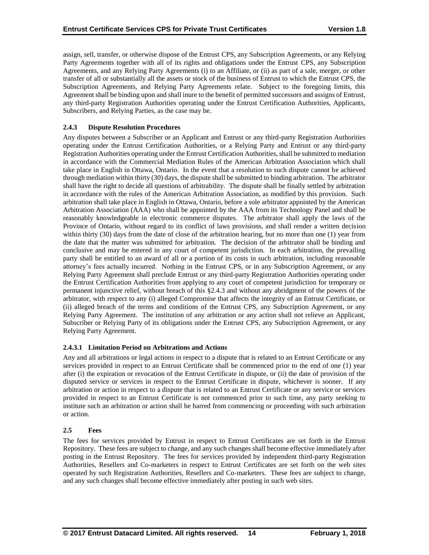assign, sell, transfer, or otherwise dispose of the Entrust CPS, any Subscription Agreements, or any Relying Party Agreements together with all of its rights and obligations under the Entrust CPS, any Subscription Agreements, and any Relying Party Agreements (i) to an Affiliate, or (ii) as part of a sale, merger, or other transfer of all or substantially all the assets or stock of the business of Entrust to which the Entrust CPS, the Subscription Agreements, and Relying Party Agreements relate. Subject to the foregoing limits, this Agreement shall be binding upon and shall inure to the benefit of permitted successors and assigns of Entrust, any third-party Registration Authorities operating under the Entrust Certification Authorities, Applicants, Subscribers, and Relying Parties, as the case may be.

# **2.4.3 Dispute Resolution Procedures**

Any disputes between a Subscriber or an Applicant and Entrust or any third-party Registration Authorities operating under the Entrust Certification Authorities, or a Relying Party and Entrust or any third-party Registration Authorities operating under the Entrust Certification Authorities, shall be submitted to mediation in accordance with the Commercial Mediation Rules of the American Arbitration Association which shall take place in English in Ottawa, Ontario. In the event that a resolution to such dispute cannot be achieved through mediation within thirty (30) days, the dispute shall be submitted to binding arbitration. The arbitrator shall have the right to decide all questions of arbitrability. The dispute shall be finally settled by arbitration in accordance with the rules of the American Arbitration Association, as modified by this provision. Such arbitration shall take place in English in Ottawa, Ontario, before a sole arbitrator appointed by the American Arbitration Association (AAA) who shall be appointed by the AAA from its Technology Panel and shall be reasonably knowledgeable in electronic commerce disputes. The arbitrator shall apply the laws of the Province of Ontario, without regard to its conflict of laws provisions, and shall render a written decision within thirty (30) days from the date of close of the arbitration hearing, but no more than one (1) year from the date that the matter was submitted for arbitration. The decision of the arbitrator shall be binding and conclusive and may be entered in any court of competent jurisdiction. In each arbitration, the prevailing party shall be entitled to an award of all or a portion of its costs in such arbitration, including reasonable attorney's fees actually incurred. Nothing in the Entrust CPS, or in any Subscription Agreement, or any Relying Party Agreement shall preclude Entrust or any third-party Registration Authorities operating under the Entrust Certification Authorities from applying to any court of competent jurisdiction for temporary or permanent injunctive relief, without breach of this §2.4.3 and without any abridgment of the powers of the arbitrator, with respect to any (i) alleged Compromise that affects the integrity of an Entrust Certificate, or (ii) alleged breach of the terms and conditions of the Entrust CPS, any Subscription Agreement, or any Relying Party Agreement. The institution of any arbitration or any action shall not relieve an Applicant, Subscriber or Relying Party of its obligations under the Entrust CPS, any Subscription Agreement, or any Relying Party Agreement.

## **2.4.3.1 Limitation Period on Arbitrations and Actions**

Any and all arbitrations or legal actions in respect to a dispute that is related to an Entrust Certificate or any services provided in respect to an Entrust Certificate shall be commenced prior to the end of one (1) year after (i) the expiration or revocation of the Entrust Certificate in dispute, or (ii) the date of provision of the disputed service or services in respect to the Entrust Certificate in dispute, whichever is sooner. If any arbitration or action in respect to a dispute that is related to an Entrust Certificate or any service or services provided in respect to an Entrust Certificate is not commenced prior to such time, any party seeking to institute such an arbitration or action shall be barred from commencing or proceeding with such arbitration or action.

## **2.5 Fees**

The fees for services provided by Entrust in respect to Entrust Certificates are set forth in the Entrust Repository. These fees are subject to change, and any such changes shall become effective immediately after posting in the Entrust Repository. The fees for services provided by independent third-party Registration Authorities, Resellers and Co-marketers in respect to Entrust Certificates are set forth on the web sites operated by such Registration Authorities, Resellers and Co-marketers. These fees are subject to change, and any such changes shall become effective immediately after posting in such web sites.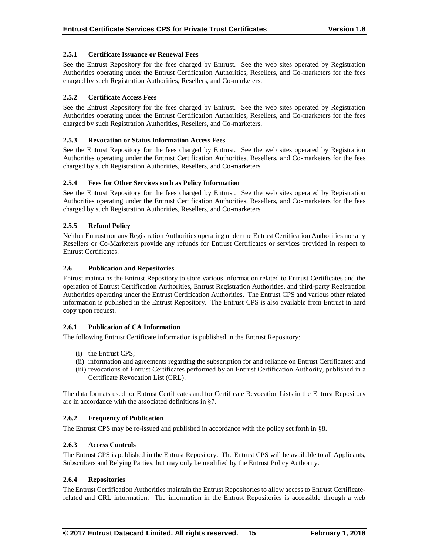# **2.5.1 Certificate Issuance or Renewal Fees**

See the Entrust Repository for the fees charged by Entrust. See the web sites operated by Registration Authorities operating under the Entrust Certification Authorities, Resellers, and Co-marketers for the fees charged by such Registration Authorities, Resellers, and Co-marketers.

# **2.5.2 Certificate Access Fees**

See the Entrust Repository for the fees charged by Entrust. See the web sites operated by Registration Authorities operating under the Entrust Certification Authorities, Resellers, and Co-marketers for the fees charged by such Registration Authorities, Resellers, and Co-marketers.

# **2.5.3 Revocation or Status Information Access Fees**

See the Entrust Repository for the fees charged by Entrust. See the web sites operated by Registration Authorities operating under the Entrust Certification Authorities, Resellers, and Co-marketers for the fees charged by such Registration Authorities, Resellers, and Co-marketers.

# **2.5.4 Fees for Other Services such as Policy Information**

See the Entrust Repository for the fees charged by Entrust. See the web sites operated by Registration Authorities operating under the Entrust Certification Authorities, Resellers, and Co-marketers for the fees charged by such Registration Authorities, Resellers, and Co-marketers.

# **2.5.5 Refund Policy**

Neither Entrust nor any Registration Authorities operating under the Entrust Certification Authorities nor any Resellers or Co-Marketers provide any refunds for Entrust Certificates or services provided in respect to Entrust Certificates.

## **2.6 Publication and Repositories**

Entrust maintains the Entrust Repository to store various information related to Entrust Certificates and the operation of Entrust Certification Authorities, Entrust Registration Authorities, and third-party Registration Authorities operating under the Entrust Certification Authorities. The Entrust CPS and various other related information is published in the Entrust Repository. The Entrust CPS is also available from Entrust in hard copy upon request.

## **2.6.1 Publication of CA Information**

The following Entrust Certificate information is published in the Entrust Repository:

- (i) the Entrust CPS;
- (ii) information and agreements regarding the subscription for and reliance on Entrust Certificates; and
- (iii) revocations of Entrust Certificates performed by an Entrust Certification Authority, published in a Certificate Revocation List (CRL).

The data formats used for Entrust Certificates and for Certificate Revocation Lists in the Entrust Repository are in accordance with the associated definitions in §7.

## **2.6.2 Frequency of Publication**

The Entrust CPS may be re-issued and published in accordance with the policy set forth in §8.

## **2.6.3 Access Controls**

The Entrust CPS is published in the Entrust Repository. The Entrust CPS will be available to all Applicants, Subscribers and Relying Parties, but may only be modified by the Entrust Policy Authority.

## **2.6.4 Repositories**

The Entrust Certification Authorities maintain the Entrust Repositories to allow access to Entrust Certificaterelated and CRL information. The information in the Entrust Repositories is accessible through a web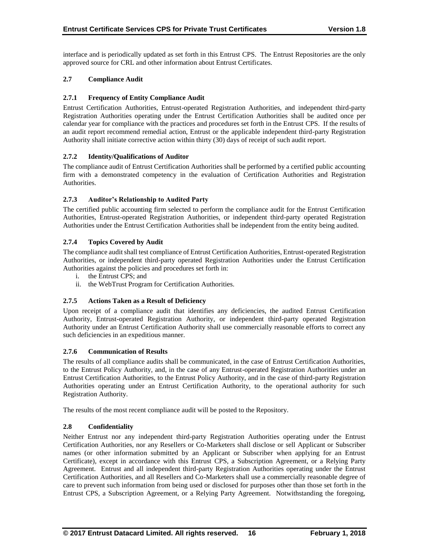interface and is periodically updated as set forth in this Entrust CPS. The Entrust Repositories are the only approved source for CRL and other information about Entrust Certificates.

# **2.7 Compliance Audit**

# **2.7.1 Frequency of Entity Compliance Audit**

Entrust Certification Authorities, Entrust-operated Registration Authorities, and independent third-party Registration Authorities operating under the Entrust Certification Authorities shall be audited once per calendar year for compliance with the practices and procedures set forth in the Entrust CPS. If the results of an audit report recommend remedial action, Entrust or the applicable independent third-party Registration Authority shall initiate corrective action within thirty (30) days of receipt of such audit report.

# **2.7.2 Identity/Qualifications of Auditor**

The compliance audit of Entrust Certification Authorities shall be performed by a certified public accounting firm with a demonstrated competency in the evaluation of Certification Authorities and Registration Authorities.

# **2.7.3 Auditor's Relationship to Audited Party**

The certified public accounting firm selected to perform the compliance audit for the Entrust Certification Authorities, Entrust-operated Registration Authorities, or independent third-party operated Registration Authorities under the Entrust Certification Authorities shall be independent from the entity being audited.

# **2.7.4 Topics Covered by Audit**

The compliance audit shall test compliance of Entrust Certification Authorities, Entrust-operated Registration Authorities, or independent third-party operated Registration Authorities under the Entrust Certification Authorities against the policies and procedures set forth in:

- i. the Entrust CPS; and
- ii. the WebTrust Program for Certification Authorities.

## **2.7.5 Actions Taken as a Result of Deficiency**

Upon receipt of a compliance audit that identifies any deficiencies, the audited Entrust Certification Authority, Entrust-operated Registration Authority, or independent third-party operated Registration Authority under an Entrust Certification Authority shall use commercially reasonable efforts to correct any such deficiencies in an expeditious manner.

## **2.7.6 Communication of Results**

The results of all compliance audits shall be communicated, in the case of Entrust Certification Authorities, to the Entrust Policy Authority, and, in the case of any Entrust-operated Registration Authorities under an Entrust Certification Authorities, to the Entrust Policy Authority, and in the case of third-party Registration Authorities operating under an Entrust Certification Authority, to the operational authority for such Registration Authority.

The results of the most recent compliance audit will be posted to the Repository.

## **2.8 Confidentiality**

Neither Entrust nor any independent third-party Registration Authorities operating under the Entrust Certification Authorities, nor any Resellers or Co-Marketers shall disclose or sell Applicant or Subscriber names (or other information submitted by an Applicant or Subscriber when applying for an Entrust Certificate), except in accordance with this Entrust CPS, a Subscription Agreement, or a Relying Party Agreement. Entrust and all independent third-party Registration Authorities operating under the Entrust Certification Authorities, and all Resellers and Co-Marketers shall use a commercially reasonable degree of care to prevent such information from being used or disclosed for purposes other than those set forth in the Entrust CPS, a Subscription Agreement, or a Relying Party Agreement. Notwithstanding the foregoing,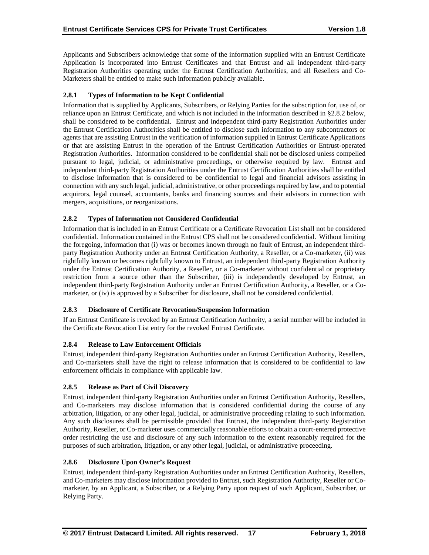Applicants and Subscribers acknowledge that some of the information supplied with an Entrust Certificate Application is incorporated into Entrust Certificates and that Entrust and all independent third-party Registration Authorities operating under the Entrust Certification Authorities, and all Resellers and Co-Marketers shall be entitled to make such information publicly available.

# **2.8.1 Types of Information to be Kept Confidential**

Information that is supplied by Applicants, Subscribers, or Relying Parties for the subscription for, use of, or reliance upon an Entrust Certificate, and which is not included in the information described in §2.8.2 below, shall be considered to be confidential. Entrust and independent third-party Registration Authorities under the Entrust Certification Authorities shall be entitled to disclose such information to any subcontractors or agents that are assisting Entrust in the verification of information supplied in Entrust Certificate Applications or that are assisting Entrust in the operation of the Entrust Certification Authorities or Entrust-operated Registration Authorities. Information considered to be confidential shall not be disclosed unless compelled pursuant to legal, judicial, or administrative proceedings, or otherwise required by law. Entrust and independent third-party Registration Authorities under the Entrust Certification Authorities shall be entitled to disclose information that is considered to be confidential to legal and financial advisors assisting in connection with any such legal, judicial, administrative, or other proceedings required by law, and to potential acquirors, legal counsel, accountants, banks and financing sources and their advisors in connection with mergers, acquisitions, or reorganizations.

# **2.8.2 Types of Information not Considered Confidential**

Information that is included in an Entrust Certificate or a Certificate Revocation List shall not be considered confidential. Information contained in the Entrust CPS shall not be considered confidential. Without limiting the foregoing, information that (i) was or becomes known through no fault of Entrust, an independent thirdparty Registration Authority under an Entrust Certification Authority, a Reseller, or a Co-marketer, (ii) was rightfully known or becomes rightfully known to Entrust, an independent third-party Registration Authority under the Entrust Certification Authority, a Reseller, or a Co-marketer without confidential or proprietary restriction from a source other than the Subscriber, (iii) is independently developed by Entrust, an independent third-party Registration Authority under an Entrust Certification Authority, a Reseller, or a Comarketer, or (iv) is approved by a Subscriber for disclosure, shall not be considered confidential.

# **2.8.3 Disclosure of Certificate Revocation/Suspension Information**

If an Entrust Certificate is revoked by an Entrust Certification Authority, a serial number will be included in the Certificate Revocation List entry for the revoked Entrust Certificate.

## **2.8.4 Release to Law Enforcement Officials**

Entrust, independent third-party Registration Authorities under an Entrust Certification Authority, Resellers, and Co-marketers shall have the right to release information that is considered to be confidential to law enforcement officials in compliance with applicable law.

## **2.8.5 Release as Part of Civil Discovery**

Entrust, independent third-party Registration Authorities under an Entrust Certification Authority, Resellers, and Co-marketers may disclose information that is considered confidential during the course of any arbitration, litigation, or any other legal, judicial, or administrative proceeding relating to such information. Any such disclosures shall be permissible provided that Entrust, the independent third-party Registration Authority, Reseller, or Co-marketer uses commercially reasonable efforts to obtain a court-entered protective order restricting the use and disclosure of any such information to the extent reasonably required for the purposes of such arbitration, litigation, or any other legal, judicial, or administrative proceeding.

## **2.8.6 Disclosure Upon Owner's Request**

Entrust, independent third-party Registration Authorities under an Entrust Certification Authority, Resellers, and Co-marketers may disclose information provided to Entrust, such Registration Authority, Reseller or Comarketer, by an Applicant, a Subscriber, or a Relying Party upon request of such Applicant, Subscriber, or Relying Party.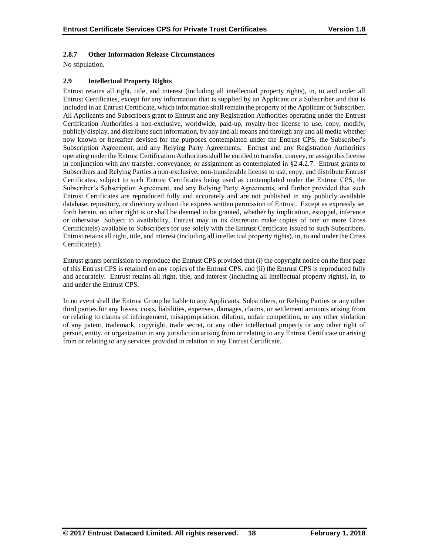# **2.8.7 Other Information Release Circumstances**

No stipulation.

# **2.9 Intellectual Property Rights**

Entrust retains all right, title, and interest (including all intellectual property rights), in, to and under all Entrust Certificates, except for any information that is supplied by an Applicant or a Subscriber and that is included in an Entrust Certificate, which information shall remain the property of the Applicant or Subscriber. All Applicants and Subscribers grant to Entrust and any Registration Authorities operating under the Entrust Certification Authorities a non-exclusive, worldwide, paid-up, royalty-free license to use, copy, modify, publicly display, and distribute such information, by any and all means and through any and all media whether now known or hereafter devised for the purposes contemplated under the Entrust CPS, the Subscriber's Subscription Agreement, and any Relying Party Agreements. Entrust and any Registration Authorities operating under the Entrust Certification Authorities shall be entitled to transfer, convey, or assign this license in conjunction with any transfer, conveyance, or assignment as contemplated in §2.4.2.7. Entrust grants to Subscribers and Relying Parties a non-exclusive, non-transferable license to use, copy, and distribute Entrust Certificates, subject to such Entrust Certificates being used as contemplated under the Entrust CPS, the Subscriber's Subscription Agreement, and any Relying Party Agreements, and further provided that such Entrust Certificates are reproduced fully and accurately and are not published in any publicly available database, repository, or directory without the express written permission of Entrust. Except as expressly set forth herein, no other right is or shall be deemed to be granted, whether by implication, estoppel, inference or otherwise. Subject to availability, Entrust may in its discretion make copies of one or more Cross Certificate(s) available to Subscribers for use solely with the Entrust Certificate issued to such Subscribers. Entrust retains all right, title, and interest (including all intellectual property rights), in, to and under the Cross Certificate(s).

Entrust grants permission to reproduce the Entrust CPS provided that (i) the copyright notice on the first page of this Entrust CPS is retained on any copies of the Entrust CPS, and (ii) the Entrust CPS is reproduced fully and accurately. Entrust retains all right, title, and interest (including all intellectual property rights), in, to and under the Entrust CPS.

In no event shall the Entrust Group be liable to any Applicants, Subscribers, or Relying Parties or any other third parties for any losses, costs, liabilities, expenses, damages, claims, or settlement amounts arising from or relating to claims of infringement, misappropriation, dilution, unfair competition, or any other violation of any patent, trademark, copyright, trade secret, or any other intellectual property or any other right of person, entity, or organization in any jurisdiction arising from or relating to any Entrust Certificate or arising from or relating to any services provided in relation to any Entrust Certificate.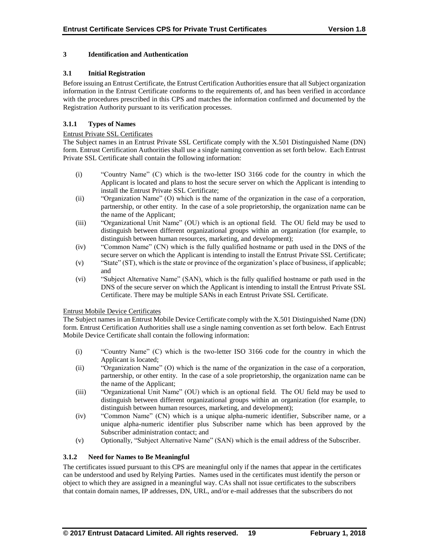# **3 Identification and Authentication**

# **3.1 Initial Registration**

Before issuing an Entrust Certificate, the Entrust Certification Authorities ensure that all Subject organization information in the Entrust Certificate conforms to the requirements of, and has been verified in accordance with the procedures prescribed in this CPS and matches the information confirmed and documented by the Registration Authority pursuant to its verification processes.

# **3.1.1 Types of Names**

## Entrust Private SSL Certificates

The Subject names in an Entrust Private SSL Certificate comply with the X.501 Distinguished Name (DN) form. Entrust Certification Authorities shall use a single naming convention as set forth below. Each Entrust Private SSL Certificate shall contain the following information:

- (i) "Country Name" (C) which is the two-letter ISO 3166 code for the country in which the Applicant is located and plans to host the secure server on which the Applicant is intending to install the Entrust Private SSL Certificate;
- (ii) "Organization Name" (O) which is the name of the organization in the case of a corporation, partnership, or other entity. In the case of a sole proprietorship, the organization name can be the name of the Applicant;
- (iii) "Organizational Unit Name" (OU) which is an optional field. The OU field may be used to distinguish between different organizational groups within an organization (for example, to distinguish between human resources, marketing, and development);
- (iv) "Common Name" (CN) which is the fully qualified hostname or path used in the DNS of the secure server on which the Applicant is intending to install the Entrust Private SSL Certificate;
- (v) "State" (ST), which is the state or province of the organization's place of business, if applicable; and
- (vi) "Subject Alternative Name" (SAN), which is the fully qualified hostname or path used in the DNS of the secure server on which the Applicant is intending to install the Entrust Private SSL Certificate. There may be multiple SANs in each Entrust Private SSL Certificate.

## Entrust Mobile Device Certificates

The Subject names in an Entrust Mobile Device Certificate comply with the X.501 Distinguished Name (DN) form. Entrust Certification Authorities shall use a single naming convention as set forth below. Each Entrust Mobile Device Certificate shall contain the following information:

- (i) "Country Name" (C) which is the two-letter ISO 3166 code for the country in which the Applicant is located;
- (ii) "Organization Name" (O) which is the name of the organization in the case of a corporation, partnership, or other entity. In the case of a sole proprietorship, the organization name can be the name of the Applicant;
- (iii) "Organizational Unit Name" (OU) which is an optional field. The OU field may be used to distinguish between different organizational groups within an organization (for example, to distinguish between human resources, marketing, and development);
- (iv) "Common Name" (CN) which is a unique alpha-numeric identifier, Subscriber name, or a unique alpha-numeric identifier plus Subscriber name which has been approved by the Subscriber administration contact; and
- (v) Optionally, "Subject Alternative Name" (SAN) which is the email address of the Subscriber.

# **3.1.2 Need for Names to Be Meaningful**

The certificates issued pursuant to this CPS are meaningful only if the names that appear in the certificates can be understood and used by Relying Parties. Names used in the certificates must identify the person or object to which they are assigned in a meaningful way. CAs shall not issue certificates to the subscribers that contain domain names, IP addresses, DN, URL, and/or e-mail addresses that the subscribers do not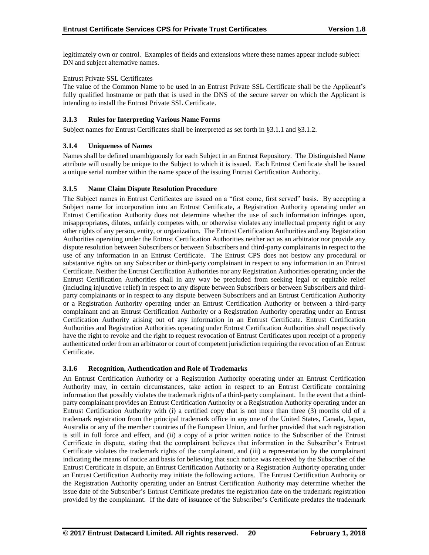legitimately own or control. Examples of fields and extensions where these names appear include subject DN and subject alternative names.

# Entrust Private SSL Certificates

The value of the Common Name to be used in an Entrust Private SSL Certificate shall be the Applicant's fully qualified hostname or path that is used in the DNS of the secure server on which the Applicant is intending to install the Entrust Private SSL Certificate.

# **3.1.3 Rules for Interpreting Various Name Forms**

Subject names for Entrust Certificates shall be interpreted as set forth in §3.1.1 and §3.1.2.

# **3.1.4 Uniqueness of Names**

Names shall be defined unambiguously for each Subject in an Entrust Repository. The Distinguished Name attribute will usually be unique to the Subject to which it is issued. Each Entrust Certificate shall be issued a unique serial number within the name space of the issuing Entrust Certification Authority.

# **3.1.5 Name Claim Dispute Resolution Procedure**

The Subject names in Entrust Certificates are issued on a "first come, first served" basis. By accepting a Subject name for incorporation into an Entrust Certificate, a Registration Authority operating under an Entrust Certification Authority does not determine whether the use of such information infringes upon, misappropriates, dilutes, unfairly competes with, or otherwise violates any intellectual property right or any other rights of any person, entity, or organization. The Entrust Certification Authorities and any Registration Authorities operating under the Entrust Certification Authorities neither act as an arbitrator nor provide any dispute resolution between Subscribers or between Subscribers and third-party complainants in respect to the use of any information in an Entrust Certificate. The Entrust CPS does not bestow any procedural or substantive rights on any Subscriber or third-party complainant in respect to any information in an Entrust Certificate. Neither the Entrust Certification Authorities nor any Registration Authorities operating under the Entrust Certification Authorities shall in any way be precluded from seeking legal or equitable relief (including injunctive relief) in respect to any dispute between Subscribers or between Subscribers and thirdparty complainants or in respect to any dispute between Subscribers and an Entrust Certification Authority or a Registration Authority operating under an Entrust Certification Authority or between a third-party complainant and an Entrust Certification Authority or a Registration Authority operating under an Entrust Certification Authority arising out of any information in an Entrust Certificate. Entrust Certification Authorities and Registration Authorities operating under Entrust Certification Authorities shall respectively have the right to revoke and the right to request revocation of Entrust Certificates upon receipt of a properly authenticated order from an arbitrator or court of competent jurisdiction requiring the revocation of an Entrust Certificate.

## **3.1.6 Recognition, Authentication and Role of Trademarks**

An Entrust Certification Authority or a Registration Authority operating under an Entrust Certification Authority may, in certain circumstances, take action in respect to an Entrust Certificate containing information that possibly violates the trademark rights of a third-party complainant. In the event that a thirdparty complainant provides an Entrust Certification Authority or a Registration Authority operating under an Entrust Certification Authority with (i) a certified copy that is not more than three (3) months old of a trademark registration from the principal trademark office in any one of the United States, Canada, Japan, Australia or any of the member countries of the European Union, and further provided that such registration is still in full force and effect, and (ii) a copy of a prior written notice to the Subscriber of the Entrust Certificate in dispute, stating that the complainant believes that information in the Subscriber's Entrust Certificate violates the trademark rights of the complainant, and (iii) a representation by the complainant indicating the means of notice and basis for believing that such notice was received by the Subscriber of the Entrust Certificate in dispute, an Entrust Certification Authority or a Registration Authority operating under an Entrust Certification Authority may initiate the following actions. The Entrust Certification Authority or the Registration Authority operating under an Entrust Certification Authority may determine whether the issue date of the Subscriber's Entrust Certificate predates the registration date on the trademark registration provided by the complainant. If the date of issuance of the Subscriber's Certificate predates the trademark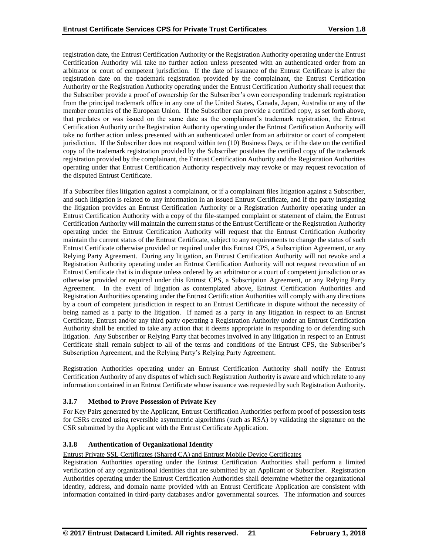registration date, the Entrust Certification Authority or the Registration Authority operating under the Entrust Certification Authority will take no further action unless presented with an authenticated order from an arbitrator or court of competent jurisdiction. If the date of issuance of the Entrust Certificate is after the registration date on the trademark registration provided by the complainant, the Entrust Certification Authority or the Registration Authority operating under the Entrust Certification Authority shall request that the Subscriber provide a proof of ownership for the Subscriber's own corresponding trademark registration from the principal trademark office in any one of the United States, Canada, Japan, Australia or any of the member countries of the European Union. If the Subscriber can provide a certified copy, as set forth above, that predates or was issued on the same date as the complainant's trademark registration, the Entrust Certification Authority or the Registration Authority operating under the Entrust Certification Authority will take no further action unless presented with an authenticated order from an arbitrator or court of competent jurisdiction. If the Subscriber does not respond within ten (10) Business Days, or if the date on the certified copy of the trademark registration provided by the Subscriber postdates the certified copy of the trademark registration provided by the complainant, the Entrust Certification Authority and the Registration Authorities operating under that Entrust Certification Authority respectively may revoke or may request revocation of the disputed Entrust Certificate.

If a Subscriber files litigation against a complainant, or if a complainant files litigation against a Subscriber, and such litigation is related to any information in an issued Entrust Certificate, and if the party instigating the litigation provides an Entrust Certification Authority or a Registration Authority operating under an Entrust Certification Authority with a copy of the file-stamped complaint or statement of claim, the Entrust Certification Authority will maintain the current status of the Entrust Certificate or the Registration Authority operating under the Entrust Certification Authority will request that the Entrust Certification Authority maintain the current status of the Entrust Certificate, subject to any requirements to change the status of such Entrust Certificate otherwise provided or required under this Entrust CPS, a Subscription Agreement, or any Relying Party Agreement. During any litigation, an Entrust Certification Authority will not revoke and a Registration Authority operating under an Entrust Certification Authority will not request revocation of an Entrust Certificate that is in dispute unless ordered by an arbitrator or a court of competent jurisdiction or as otherwise provided or required under this Entrust CPS, a Subscription Agreement, or any Relying Party Agreement. In the event of litigation as contemplated above, Entrust Certification Authorities and Registration Authorities operating under the Entrust Certification Authorities will comply with any directions by a court of competent jurisdiction in respect to an Entrust Certificate in dispute without the necessity of being named as a party to the litigation. If named as a party in any litigation in respect to an Entrust Certificate, Entrust and/or any third party operating a Registration Authority under an Entrust Certification Authority shall be entitled to take any action that it deems appropriate in responding to or defending such litigation. Any Subscriber or Relying Party that becomes involved in any litigation in respect to an Entrust Certificate shall remain subject to all of the terms and conditions of the Entrust CPS, the Subscriber's Subscription Agreement, and the Relying Party's Relying Party Agreement.

Registration Authorities operating under an Entrust Certification Authority shall notify the Entrust Certification Authority of any disputes of which such Registration Authority is aware and which relate to any information contained in an Entrust Certificate whose issuance was requested by such Registration Authority.

# **3.1.7 Method to Prove Possession of Private Key**

For Key Pairs generated by the Applicant, Entrust Certification Authorities perform proof of possession tests for CSRs created using reversible asymmetric algorithms (such as RSA) by validating the signature on the CSR submitted by the Applicant with the Entrust Certificate Application.

## **3.1.8 Authentication of Organizational Identity**

Entrust Private SSL Certificates (Shared CA) and Entrust Mobile Device Certificates

Registration Authorities operating under the Entrust Certification Authorities shall perform a limited verification of any organizational identities that are submitted by an Applicant or Subscriber. Registration Authorities operating under the Entrust Certification Authorities shall determine whether the organizational identity, address, and domain name provided with an Entrust Certificate Application are consistent with information contained in third-party databases and/or governmental sources. The information and sources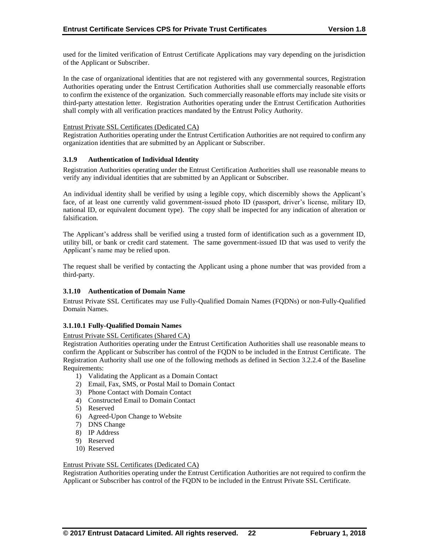used for the limited verification of Entrust Certificate Applications may vary depending on the jurisdiction of the Applicant or Subscriber.

In the case of organizational identities that are not registered with any governmental sources, Registration Authorities operating under the Entrust Certification Authorities shall use commercially reasonable efforts to confirm the existence of the organization. Such commercially reasonable efforts may include site visits or third-party attestation letter. Registration Authorities operating under the Entrust Certification Authorities shall comply with all verification practices mandated by the Entrust Policy Authority.

## Entrust Private SSL Certificates (Dedicated CA)

Registration Authorities operating under the Entrust Certification Authorities are not required to confirm any organization identities that are submitted by an Applicant or Subscriber.

#### **3.1.9 Authentication of Individual Identity**

Registration Authorities operating under the Entrust Certification Authorities shall use reasonable means to verify any individual identities that are submitted by an Applicant or Subscriber.

An individual identity shall be verified by using a legible copy, which discernibly shows the Applicant's face, of at least one currently valid government-issued photo ID (passport, driver's license, military ID, national ID, or equivalent document type). The copy shall be inspected for any indication of alteration or falsification.

The Applicant's address shall be verified using a trusted form of identification such as a government ID, utility bill, or bank or credit card statement. The same government-issued ID that was used to verify the Applicant's name may be relied upon.

The request shall be verified by contacting the Applicant using a phone number that was provided from a third-party.

## **3.1.10 Authentication of Domain Name**

Entrust Private SSL Certificates may use Fully-Qualified Domain Names (FQDNs) or non-Fully-Qualified Domain Names.

#### **3.1.10.1 Fully-Qualified Domain Names**

#### Entrust Private SSL Certificates (Shared CA)

Registration Authorities operating under the Entrust Certification Authorities shall use reasonable means to confirm the Applicant or Subscriber has control of the FQDN to be included in the Entrust Certificate. The Registration Authority shall use one of the following methods as defined in Section 3.2.2.4 of the Baseline Requirements:

- 1) Validating the Applicant as a Domain Contact
- 2) Email, Fax, SMS, or Postal Mail to Domain Contact
- 3) Phone Contact with Domain Contact
- 4) Constructed Email to Domain Contact
- 5) Reserved
- 6) Agreed-Upon Change to Website
- 7) DNS Change
- 8) IP Address
- 9) Reserved
- 10) Reserved

#### Entrust Private SSL Certificates (Dedicated CA)

Registration Authorities operating under the Entrust Certification Authorities are not required to confirm the Applicant or Subscriber has control of the FQDN to be included in the Entrust Private SSL Certificate.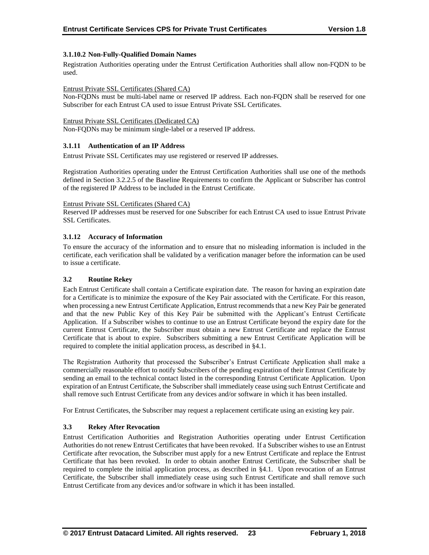# **3.1.10.2 Non-Fully-Qualified Domain Names**

Registration Authorities operating under the Entrust Certification Authorities shall allow non-FQDN to be used.

## Entrust Private SSL Certificates (Shared CA)

Non-FQDNs must be multi-label name or reserved IP address. Each non-FQDN shall be reserved for one Subscriber for each Entrust CA used to issue Entrust Private SSL Certificates.

#### Entrust Private SSL Certificates (Dedicated CA)

Non-FQDNs may be minimum single-label or a reserved IP address.

## **3.1.11 Authentication of an IP Address**

Entrust Private SSL Certificates may use registered or reserved IP addresses.

Registration Authorities operating under the Entrust Certification Authorities shall use one of the methods defined in Section 3.2.2.5 of the Baseline Requirements to confirm the Applicant or Subscriber has control of the registered IP Address to be included in the Entrust Certificate.

#### Entrust Private SSL Certificates (Shared CA)

Reserved IP addresses must be reserved for one Subscriber for each Entrust CA used to issue Entrust Private SSL Certificates.

## **3.1.12 Accuracy of Information**

To ensure the accuracy of the information and to ensure that no misleading information is included in the certificate, each verification shall be validated by a verification manager before the information can be used to issue a certificate.

## **3.2 Routine Rekey**

Each Entrust Certificate shall contain a Certificate expiration date. The reason for having an expiration date for a Certificate is to minimize the exposure of the Key Pair associated with the Certificate. For this reason, when processing a new Entrust Certificate Application, Entrust recommends that a new Key Pair be generated and that the new Public Key of this Key Pair be submitted with the Applicant's Entrust Certificate Application. If a Subscriber wishes to continue to use an Entrust Certificate beyond the expiry date for the current Entrust Certificate, the Subscriber must obtain a new Entrust Certificate and replace the Entrust Certificate that is about to expire. Subscribers submitting a new Entrust Certificate Application will be required to complete the initial application process, as described in §4.1.

The Registration Authority that processed the Subscriber's Entrust Certificate Application shall make a commercially reasonable effort to notify Subscribers of the pending expiration of their Entrust Certificate by sending an email to the technical contact listed in the corresponding Entrust Certificate Application. Upon expiration of an Entrust Certificate, the Subscriber shall immediately cease using such Entrust Certificate and shall remove such Entrust Certificate from any devices and/or software in which it has been installed.

For Entrust Certificates, the Subscriber may request a replacement certificate using an existing key pair.

## **3.3 Rekey After Revocation**

Entrust Certification Authorities and Registration Authorities operating under Entrust Certification Authorities do not renew Entrust Certificates that have been revoked. If a Subscriber wishes to use an Entrust Certificate after revocation, the Subscriber must apply for a new Entrust Certificate and replace the Entrust Certificate that has been revoked. In order to obtain another Entrust Certificate, the Subscriber shall be required to complete the initial application process, as described in §4.1. Upon revocation of an Entrust Certificate, the Subscriber shall immediately cease using such Entrust Certificate and shall remove such Entrust Certificate from any devices and/or software in which it has been installed.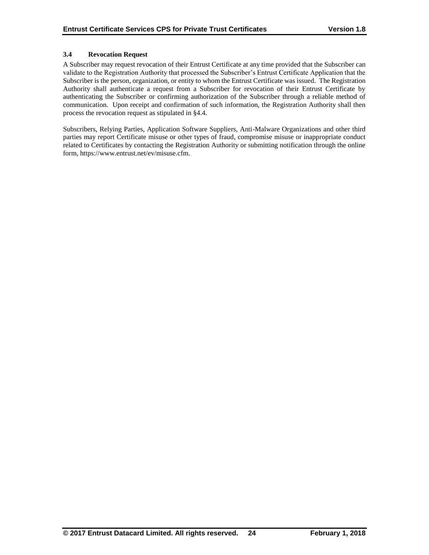# **3.4 Revocation Request**

A Subscriber may request revocation of their Entrust Certificate at any time provided that the Subscriber can validate to the Registration Authority that processed the Subscriber's Entrust Certificate Application that the Subscriber is the person, organization, or entity to whom the Entrust Certificate was issued. The Registration Authority shall authenticate a request from a Subscriber for revocation of their Entrust Certificate by authenticating the Subscriber or confirming authorization of the Subscriber through a reliable method of communication. Upon receipt and confirmation of such information, the Registration Authority shall then process the revocation request as stipulated in §4.4.

Subscribers, Relying Parties, Application Software Suppliers, Anti-Malware Organizations and other third parties may report Certificate misuse or other types of fraud, compromise misuse or inappropriate conduct related to Certificates by contacting the Registration Authority or submitting notification through the online form, https://www.entrust.net/ev/misuse.cfm.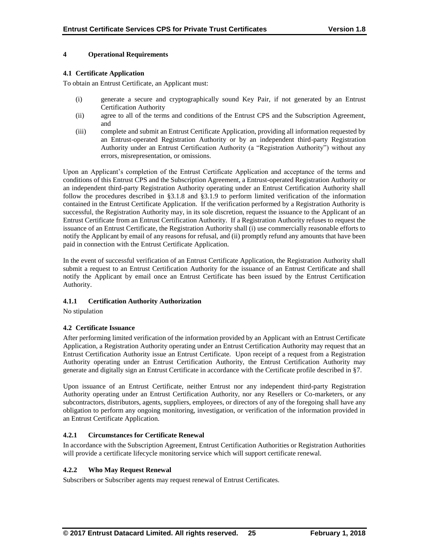# **4 Operational Requirements**

# **4.1 Certificate Application**

To obtain an Entrust Certificate, an Applicant must:

- (i) generate a secure and cryptographically sound Key Pair, if not generated by an Entrust Certification Authority
- (ii) agree to all of the terms and conditions of the Entrust CPS and the Subscription Agreement, and
- (iii) complete and submit an Entrust Certificate Application, providing all information requested by an Entrust-operated Registration Authority or by an independent third-party Registration Authority under an Entrust Certification Authority (a "Registration Authority") without any errors, misrepresentation, or omissions.

Upon an Applicant's completion of the Entrust Certificate Application and acceptance of the terms and conditions of this Entrust CPS and the Subscription Agreement, a Entrust-operated Registration Authority or an independent third-party Registration Authority operating under an Entrust Certification Authority shall follow the procedures described in §3.1.8 and §3.1.9 to perform limited verification of the information contained in the Entrust Certificate Application. If the verification performed by a Registration Authority is successful, the Registration Authority may, in its sole discretion, request the issuance to the Applicant of an Entrust Certificate from an Entrust Certification Authority. If a Registration Authority refuses to request the issuance of an Entrust Certificate, the Registration Authority shall (i) use commercially reasonable efforts to notify the Applicant by email of any reasons for refusal, and (ii) promptly refund any amounts that have been paid in connection with the Entrust Certificate Application.

In the event of successful verification of an Entrust Certificate Application, the Registration Authority shall submit a request to an Entrust Certification Authority for the issuance of an Entrust Certificate and shall notify the Applicant by email once an Entrust Certificate has been issued by the Entrust Certification Authority.

## **4.1.1 Certification Authority Authorization**

No stipulation

# **4.2 Certificate Issuance**

After performing limited verification of the information provided by an Applicant with an Entrust Certificate Application, a Registration Authority operating under an Entrust Certification Authority may request that an Entrust Certification Authority issue an Entrust Certificate. Upon receipt of a request from a Registration Authority operating under an Entrust Certification Authority, the Entrust Certification Authority may generate and digitally sign an Entrust Certificate in accordance with the Certificate profile described in §7.

Upon issuance of an Entrust Certificate, neither Entrust nor any independent third-party Registration Authority operating under an Entrust Certification Authority, nor any Resellers or Co-marketers, or any subcontractors, distributors, agents, suppliers, employees, or directors of any of the foregoing shall have any obligation to perform any ongoing monitoring, investigation, or verification of the information provided in an Entrust Certificate Application.

# **4.2.1 Circumstances for Certificate Renewal**

In accordance with the Subscription Agreement, Entrust Certification Authorities or Registration Authorities will provide a certificate lifecycle monitoring service which will support certificate renewal.

## **4.2.2 Who May Request Renewal**

Subscribers or Subscriber agents may request renewal of Entrust Certificates.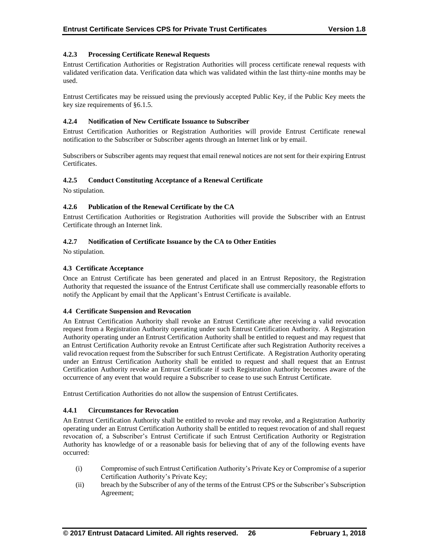# **4.2.3 Processing Certificate Renewal Requests**

Entrust Certification Authorities or Registration Authorities will process certificate renewal requests with validated verification data. Verification data which was validated within the last thirty-nine months may be used.

Entrust Certificates may be reissued using the previously accepted Public Key, if the Public Key meets the key size requirements of §6.1.5.

# **4.2.4 Notification of New Certificate Issuance to Subscriber**

Entrust Certification Authorities or Registration Authorities will provide Entrust Certificate renewal notification to the Subscriber or Subscriber agents through an Internet link or by email.

Subscribers or Subscriber agents may request that email renewal notices are not sent for their expiring Entrust Certificates.

## **4.2.5 Conduct Constituting Acceptance of a Renewal Certificate**

No stipulation.

## **4.2.6 Publication of the Renewal Certificate by the CA**

Entrust Certification Authorities or Registration Authorities will provide the Subscriber with an Entrust Certificate through an Internet link.

#### **4.2.7 Notification of Certificate Issuance by the CA to Other Entities**

No stipulation.

#### **4.3 Certificate Acceptance**

Once an Entrust Certificate has been generated and placed in an Entrust Repository, the Registration Authority that requested the issuance of the Entrust Certificate shall use commercially reasonable efforts to notify the Applicant by email that the Applicant's Entrust Certificate is available.

## **4.4 Certificate Suspension and Revocation**

An Entrust Certification Authority shall revoke an Entrust Certificate after receiving a valid revocation request from a Registration Authority operating under such Entrust Certification Authority. A Registration Authority operating under an Entrust Certification Authority shall be entitled to request and may request that an Entrust Certification Authority revoke an Entrust Certificate after such Registration Authority receives a valid revocation request from the Subscriber for such Entrust Certificate. A Registration Authority operating under an Entrust Certification Authority shall be entitled to request and shall request that an Entrust Certification Authority revoke an Entrust Certificate if such Registration Authority becomes aware of the occurrence of any event that would require a Subscriber to cease to use such Entrust Certificate.

Entrust Certification Authorities do not allow the suspension of Entrust Certificates.

## **4.4.1 Circumstances for Revocation**

An Entrust Certification Authority shall be entitled to revoke and may revoke, and a Registration Authority operating under an Entrust Certification Authority shall be entitled to request revocation of and shall request revocation of, a Subscriber's Entrust Certificate if such Entrust Certification Authority or Registration Authority has knowledge of or a reasonable basis for believing that of any of the following events have occurred:

- (i) Compromise of such Entrust Certification Authority's Private Key or Compromise of a superior Certification Authority's Private Key;
- (ii) breach by the Subscriber of any of the terms of the Entrust CPS or the Subscriber's Subscription Agreement;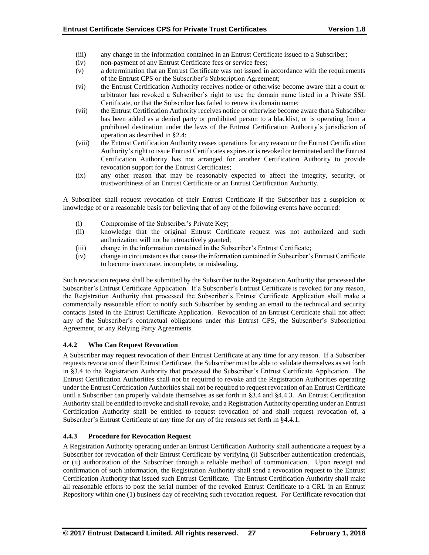- (iii) any change in the information contained in an Entrust Certificate issued to a Subscriber;
- (iv) non-payment of any Entrust Certificate fees or service fees;
- (v) a determination that an Entrust Certificate was not issued in accordance with the requirements of the Entrust CPS or the Subscriber's Subscription Agreement;
- (vi) the Entrust Certification Authority receives notice or otherwise become aware that a court or arbitrator has revoked a Subscriber's right to use the domain name listed in a Private SSL Certificate, or that the Subscriber has failed to renew its domain name;
- (vii) the Entrust Certification Authority receives notice or otherwise become aware that a Subscriber has been added as a denied party or prohibited person to a blacklist, or is operating from a prohibited destination under the laws of the Entrust Certification Authority's jurisdiction of operation as described in §2.4;
- (viii) the Entrust Certification Authority ceases operations for any reason or the Entrust Certification Authority's right to issue Entrust Certificates expires or is revoked or terminated and the Entrust Certification Authority has not arranged for another Certification Authority to provide revocation support for the Entrust Certificates;
- (ix) any other reason that may be reasonably expected to affect the integrity, security, or trustworthiness of an Entrust Certificate or an Entrust Certification Authority.

A Subscriber shall request revocation of their Entrust Certificate if the Subscriber has a suspicion or knowledge of or a reasonable basis for believing that of any of the following events have occurred:

- (i) Compromise of the Subscriber's Private Key;
- (ii) knowledge that the original Entrust Certificate request was not authorized and such authorization will not be retroactively granted;
- (iii) change in the information contained in the Subscriber's Entrust Certificate;
- (iv) change in circumstances that cause the information contained in Subscriber's Entrust Certificate to become inaccurate, incomplete, or misleading.

Such revocation request shall be submitted by the Subscriber to the Registration Authority that processed the Subscriber's Entrust Certificate Application. If a Subscriber's Entrust Certificate is revoked for any reason, the Registration Authority that processed the Subscriber's Entrust Certificate Application shall make a commercially reasonable effort to notify such Subscriber by sending an email to the technical and security contacts listed in the Entrust Certificate Application. Revocation of an Entrust Certificate shall not affect any of the Subscriber's contractual obligations under this Entrust CPS, the Subscriber's Subscription Agreement, or any Relying Party Agreements.

# **4.4.2 Who Can Request Revocation**

A Subscriber may request revocation of their Entrust Certificate at any time for any reason. If a Subscriber requests revocation of their Entrust Certificate, the Subscriber must be able to validate themselves as set forth in §3.4 to the Registration Authority that processed the Subscriber's Entrust Certificate Application. The Entrust Certification Authorities shall not be required to revoke and the Registration Authorities operating under the Entrust Certification Authorities shall not be required to request revocation of an Entrust Certificate until a Subscriber can properly validate themselves as set forth in §3.4 and §4.4.3. An Entrust Certification Authority shall be entitled to revoke and shall revoke, and a Registration Authority operating under an Entrust Certification Authority shall be entitled to request revocation of and shall request revocation of, a Subscriber's Entrust Certificate at any time for any of the reasons set forth in §4.4.1.

# **4.4.3 Procedure for Revocation Request**

A Registration Authority operating under an Entrust Certification Authority shall authenticate a request by a Subscriber for revocation of their Entrust Certificate by verifying (i) Subscriber authentication credentials, or (ii) authorization of the Subscriber through a reliable method of communication. Upon receipt and confirmation of such information, the Registration Authority shall send a revocation request to the Entrust Certification Authority that issued such Entrust Certificate. The Entrust Certification Authority shall make all reasonable efforts to post the serial number of the revoked Entrust Certificate to a CRL in an Entrust Repository within one (1) business day of receiving such revocation request. For Certificate revocation that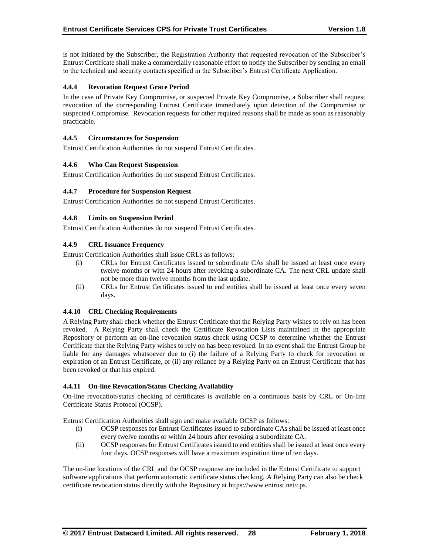is not initiated by the Subscriber, the Registration Authority that requested revocation of the Subscriber's Entrust Certificate shall make a commercially reasonable effort to notify the Subscriber by sending an email to the technical and security contacts specified in the Subscriber's Entrust Certificate Application.

# **4.4.4 Revocation Request Grace Period**

In the case of Private Key Compromise, or suspected Private Key Compromise, a Subscriber shall request revocation of the corresponding Entrust Certificate immediately upon detection of the Compromise or suspected Compromise. Revocation requests for other required reasons shall be made as soon as reasonably practicable.

# **4.4.5 Circumstances for Suspension**

Entrust Certification Authorities do not suspend Entrust Certificates.

# **4.4.6 Who Can Request Suspension**

Entrust Certification Authorities do not suspend Entrust Certificates.

# **4.4.7 Procedure for Suspension Request**

Entrust Certification Authorities do not suspend Entrust Certificates.

# **4.4.8 Limits on Suspension Period**

Entrust Certification Authorities do not suspend Entrust Certificates.

# **4.4.9 CRL Issuance Frequency**

Entrust Certification Authorities shall issue CRLs as follows:

- (i) CRLs for Entrust Certificates issued to subordinate CAs shall be issued at least once every twelve months or with 24 hours after revoking a subordinate CA. The next CRL update shall not be more than twelve months from the last update.
- (ii) CRLs for Entrust Certificates issued to end entities shall be issued at least once every seven days.

## **4.4.10 CRL Checking Requirements**

A Relying Party shall check whether the Entrust Certificate that the Relying Party wishes to rely on has been revoked. A Relying Party shall check the Certificate Revocation Lists maintained in the appropriate Repository or perform an on-line revocation status check using OCSP to determine whether the Entrust Certificate that the Relying Party wishes to rely on has been revoked. In no event shall the Entrust Group be liable for any damages whatsoever due to (i) the failure of a Relying Party to check for revocation or expiration of an Entrust Certificate, or (ii) any reliance by a Relying Party on an Entrust Certificate that has been revoked or that has expired.

## **4.4.11 On-line Revocation/Status Checking Availability**

On-line revocation/status checking of certificates is available on a continuous basis by CRL or On-line Certificate Status Protocol (OCSP).

Entrust Certification Authorities shall sign and make available OCSP as follows:

- (i) OCSP responses for Entrust Certificates issued to subordinate CAs shall be issued at least once every twelve months or within 24 hours after revoking a subordinate CA.
- (ii) OCSP responses for Entrust Certificates issued to end entities shall be issued at least once every four days. OCSP responses will have a maximum expiration time of ten days.

The on-line locations of the CRL and the OCSP response are included in the Entrust Certificate to support software applications that perform automatic certificate status checking. A Relying Party can also be check certificate revocation status directly with the Repository at https://www.entrust.net/cps.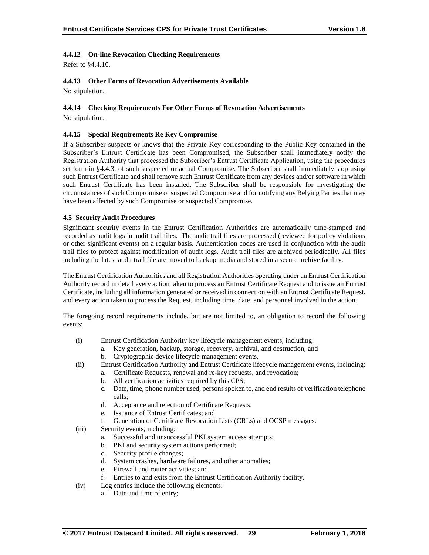# **4.4.12 On-line Revocation Checking Requirements**

Refer to §4.4.10.

# **4.4.13 Other Forms of Revocation Advertisements Available**

No stipulation.

## **4.4.14 Checking Requirements For Other Forms of Revocation Advertisements**

No stipulation.

## **4.4.15 Special Requirements Re Key Compromise**

If a Subscriber suspects or knows that the Private Key corresponding to the Public Key contained in the Subscriber's Entrust Certificate has been Compromised, the Subscriber shall immediately notify the Registration Authority that processed the Subscriber's Entrust Certificate Application, using the procedures set forth in §4.4.3, of such suspected or actual Compromise. The Subscriber shall immediately stop using such Entrust Certificate and shall remove such Entrust Certificate from any devices and/or software in which such Entrust Certificate has been installed. The Subscriber shall be responsible for investigating the circumstances of such Compromise or suspected Compromise and for notifying any Relying Parties that may have been affected by such Compromise or suspected Compromise.

#### **4.5 Security Audit Procedures**

Significant security events in the Entrust Certification Authorities are automatically time-stamped and recorded as audit logs in audit trail files. The audit trail files are processed (reviewed for policy violations or other significant events) on a regular basis. Authentication codes are used in conjunction with the audit trail files to protect against modification of audit logs. Audit trail files are archived periodically. All files including the latest audit trail file are moved to backup media and stored in a secure archive facility.

The Entrust Certification Authorities and all Registration Authorities operating under an Entrust Certification Authority record in detail every action taken to process an Entrust Certificate Request and to issue an Entrust Certificate, including all information generated or received in connection with an Entrust Certificate Request, and every action taken to process the Request, including time, date, and personnel involved in the action.

The foregoing record requirements include, but are not limited to, an obligation to record the following events:

- (i) Entrust Certification Authority key lifecycle management events, including:
	- a. Key generation, backup, storage, recovery, archival, and destruction; and
	- b. Cryptographic device lifecycle management events.
- (ii) Entrust Certification Authority and Entrust Certificate lifecycle management events, including:
	- a. Certificate Requests, renewal and re-key requests, and revocation;
	- b. All verification activities required by this CPS;
	- c. Date, time, phone number used, persons spoken to, and end results of verification telephone calls;
	- d. Acceptance and rejection of Certificate Requests;
	- e. Issuance of Entrust Certificates; and
	- f. Generation of Certificate Revocation Lists (CRLs) and OCSP messages.
- (iii) Security events, including:
	- a. Successful and unsuccessful PKI system access attempts;
	- b. PKI and security system actions performed;
	- c. Security profile changes;
	- d. System crashes, hardware failures, and other anomalies;
	- e. Firewall and router activities; and
	- f. Entries to and exits from the Entrust Certification Authority facility.
- (iv) Log entries include the following elements:
	- a. Date and time of entry;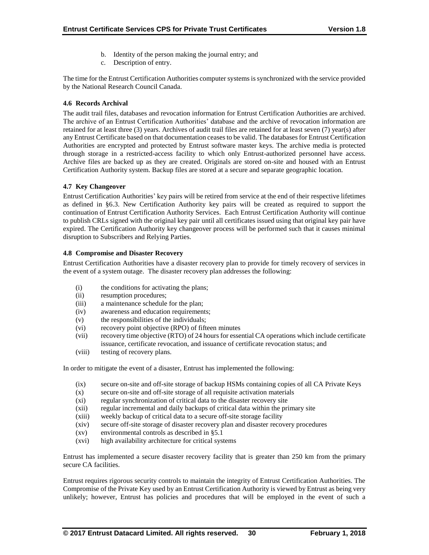- b. Identity of the person making the journal entry; and
- c. Description of entry.

The time for the Entrust Certification Authorities computer systems is synchronized with the service provided by the National Research Council Canada.

# **4.6 Records Archival**

The audit trail files, databases and revocation information for Entrust Certification Authorities are archived. The archive of an Entrust Certification Authorities' database and the archive of revocation information are retained for at least three (3) years. Archives of audit trail files are retained for at least seven (7) year(s) after any Entrust Certificate based on that documentation ceases to be valid. The databases for Entrust Certification Authorities are encrypted and protected by Entrust software master keys. The archive media is protected through storage in a restricted-access facility to which only Entrust-authorized personnel have access. Archive files are backed up as they are created. Originals are stored on-site and housed with an Entrust Certification Authority system. Backup files are stored at a secure and separate geographic location.

## **4.7 Key Changeover**

Entrust Certification Authorities' key pairs will be retired from service at the end of their respective lifetimes as defined in §6.3. New Certification Authority key pairs will be created as required to support the continuation of Entrust Certification Authority Services. Each Entrust Certification Authority will continue to publish CRLs signed with the original key pair until all certificates issued using that original key pair have expired. The Certification Authority key changeover process will be performed such that it causes minimal disruption to Subscribers and Relying Parties.

## **4.8 Compromise and Disaster Recovery**

Entrust Certification Authorities have a disaster recovery plan to provide for timely recovery of services in the event of a system outage. The disaster recovery plan addresses the following:

- (i) the conditions for activating the plans;
- (ii) resumption procedures;
- (iii) a maintenance schedule for the plan;
- (iv) awareness and education requirements;
- (v) the responsibilities of the individuals;
- (vi) recovery point objective (RPO) of fifteen minutes
- (vii) recovery time objective (RTO) of 24 hours for essential CA operations which include certificate issuance, certificate revocation, and issuance of certificate revocation status; and
- (viii) testing of recovery plans.

In order to mitigate the event of a disaster, Entrust has implemented the following:

- (ix) secure on-site and off-site storage of backup HSMs containing copies of all CA Private Keys
- (x) secure on-site and off-site storage of all requisite activation materials
- (xi) regular synchronization of critical data to the disaster recovery site
- (xii) regular incremental and daily backups of critical data within the primary site
- (xiii) weekly backup of critical data to a secure off-site storage facility
- (xiv) secure off-site storage of disaster recovery plan and disaster recovery procedures
- (xv) environmental controls as described in §5.1
- (xvi) high availability architecture for critical systems

Entrust has implemented a secure disaster recovery facility that is greater than 250 km from the primary secure CA facilities.

Entrust requires rigorous security controls to maintain the integrity of Entrust Certification Authorities. The Compromise of the Private Key used by an Entrust Certification Authority is viewed by Entrust as being very unlikely; however, Entrust has policies and procedures that will be employed in the event of such a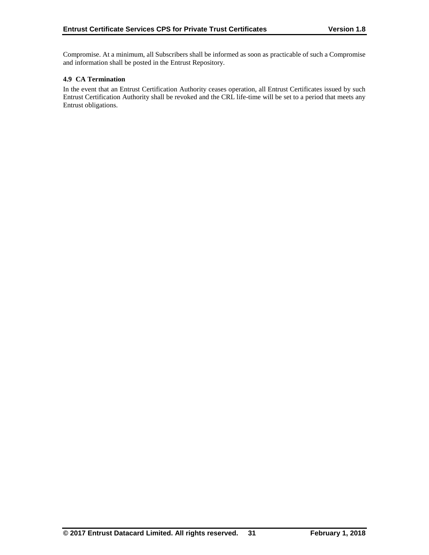Compromise. At a minimum, all Subscribers shall be informed as soon as practicable of such a Compromise and information shall be posted in the Entrust Repository.

## **4.9 CA Termination**

In the event that an Entrust Certification Authority ceases operation, all Entrust Certificates issued by such Entrust Certification Authority shall be revoked and the CRL life-time will be set to a period that meets any Entrust obligations.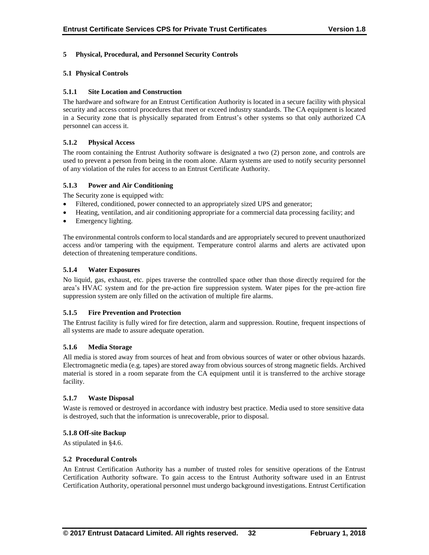# **5 Physical, Procedural, and Personnel Security Controls**

# **5.1 Physical Controls**

# **5.1.1 Site Location and Construction**

The hardware and software for an Entrust Certification Authority is located in a secure facility with physical security and access control procedures that meet or exceed industry standards. The CA equipment is located in a Security zone that is physically separated from Entrust's other systems so that only authorized CA personnel can access it.

# **5.1.2 Physical Access**

The room containing the Entrust Authority software is designated a two (2) person zone, and controls are used to prevent a person from being in the room alone. Alarm systems are used to notify security personnel of any violation of the rules for access to an Entrust Certificate Authority.

# **5.1.3 Power and Air Conditioning**

The Security zone is equipped with:

- Filtered, conditioned, power connected to an appropriately sized UPS and generator;
- Heating, ventilation, and air conditioning appropriate for a commercial data processing facility; and
- Emergency lighting.

The environmental controls conform to local standards and are appropriately secured to prevent unauthorized access and/or tampering with the equipment. Temperature control alarms and alerts are activated upon detection of threatening temperature conditions.

# **5.1.4 Water Exposures**

No liquid, gas, exhaust, etc. pipes traverse the controlled space other than those directly required for the area's HVAC system and for the pre-action fire suppression system. Water pipes for the pre-action fire suppression system are only filled on the activation of multiple fire alarms.

## **5.1.5 Fire Prevention and Protection**

The Entrust facility is fully wired for fire detection, alarm and suppression. Routine, frequent inspections of all systems are made to assure adequate operation.

## **5.1.6 Media Storage**

All media is stored away from sources of heat and from obvious sources of water or other obvious hazards. Electromagnetic media (e.g. tapes) are stored away from obvious sources of strong magnetic fields. Archived material is stored in a room separate from the CA equipment until it is transferred to the archive storage facility.

## **5.1.7 Waste Disposal**

Waste is removed or destroyed in accordance with industry best practice. Media used to store sensitive data is destroyed, such that the information is unrecoverable, prior to disposal.

## **5.1.8 Off-site Backup**

As stipulated in §4.6.

## **5.2 Procedural Controls**

An Entrust Certification Authority has a number of trusted roles for sensitive operations of the Entrust Certification Authority software. To gain access to the Entrust Authority software used in an Entrust Certification Authority, operational personnel must undergo background investigations. Entrust Certification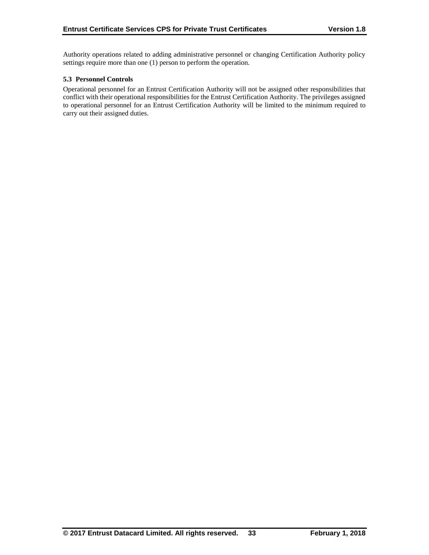Authority operations related to adding administrative personnel or changing Certification Authority policy settings require more than one (1) person to perform the operation.

# **5.3 Personnel Controls**

Operational personnel for an Entrust Certification Authority will not be assigned other responsibilities that conflict with their operational responsibilities for the Entrust Certification Authority. The privileges assigned to operational personnel for an Entrust Certification Authority will be limited to the minimum required to carry out their assigned duties.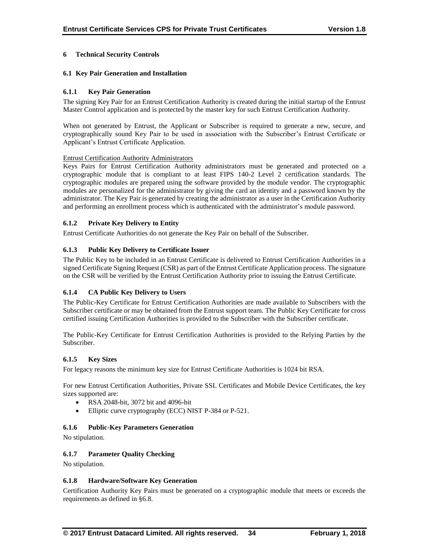# **6 Technical Security Controls**

# **6.1 Key Pair Generation and Installation**

# **6.1.1 Key Pair Generation**

The signing Key Pair for an Entrust Certification Authority is created during the initial startup of the Entrust Master Control application and is protected by the master key for such Entrust Certification Authority.

When not generated by Entrust, the Applicant or Subscriber is required to generate a new, secure, and cryptographically sound Key Pair to be used in association with the Subscriber's Entrust Certificate or Applicant's Entrust Certificate Application.

## Entrust Certification Authority Administrators

Keys Pairs for Entrust Certification Authority administrators must be generated and protected on a cryptographic module that is compliant to at least FIPS 140-2 Level 2 certification standards. The cryptographic modules are prepared using the software provided by the module vendor. The cryptographic modules are personalized for the administrator by giving the card an identity and a password known by the administrator. The Key Pair is generated by creating the administrator as a user in the Certification Authority and performing an enrollment process which is authenticated with the administrator's module password.

# **6.1.2 Private Key Delivery to Entity**

Entrust Certificate Authorities do not generate the Key Pair on behalf of the Subscriber.

## **6.1.3 Public Key Delivery to Certificate Issuer**

The Public Key to be included in an Entrust Certificate is delivered to Entrust Certification Authorities in a signed Certificate Signing Request (CSR) as part of the Entrust Certificate Application process. The signature on the CSR will be verified by the Entrust Certification Authority prior to issuing the Entrust Certificate.

## **6.1.4 CA Public Key Delivery to Users**

The Public-Key Certificate for Entrust Certification Authorities are made available to Subscribers with the Subscriber certificate or may be obtained from the Entrust support team. The Public Key Certificate for cross certified issuing Certification Authorities is provided to the Subscriber with the Subscriber certificate.

The Public-Key Certificate for Entrust Certification Authorities is provided to the Relying Parties by the Subscriber.

## **6.1.5 Key Sizes**

For legacy reasons the minimum key size for Entrust Certificate Authorities is 1024 bit RSA.

For new Entrust Certification Authorities, Private SSL Certificates and Mobile Device Certificates, the key sizes supported are:

- RSA 2048-bit, 3072 bit and 4096-bit
- Elliptic curve cryptography (ECC) NIST P-384 or P-521.

## **6.1.6 Public-Key Parameters Generation**

No stipulation.

## **6.1.7 Parameter Quality Checking**

No stipulation.

## **6.1.8 Hardware/Software Key Generation**

Certification Authority Key Pairs must be generated on a cryptographic module that meets or exceeds the requirements as defined in §6.8.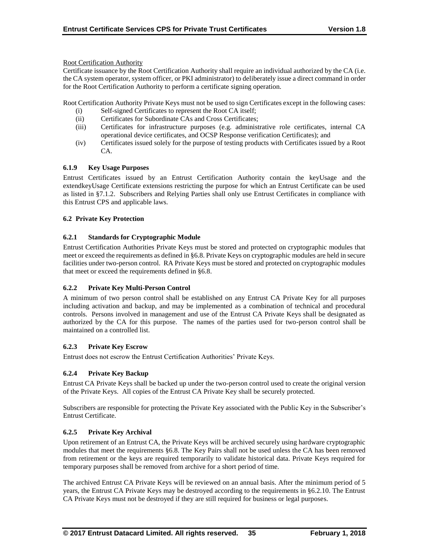Root Certification Authority

Certificate issuance by the Root Certification Authority shall require an individual authorized by the CA (i.e. the CA system operator, system officer, or PKI administrator) to deliberately issue a direct command in order for the Root Certification Authority to perform a certificate signing operation.

Root Certification Authority Private Keys must not be used to sign Certificates except in the following cases:

- (i) Self-signed Certificates to represent the Root CA itself;
- (ii) Certificates for Subordinate CAs and Cross Certificates;
- (iii) Certificates for infrastructure purposes (e.g. administrative role certificates, internal CA operational device certificates, and OCSP Response verification Certificates); and
- (iv) Certificates issued solely for the purpose of testing products with Certificates issued by a Root CA.

# **6.1.9 Key Usage Purposes**

Entrust Certificates issued by an Entrust Certification Authority contain the keyUsage and the extendkeyUsage Certificate extensions restricting the purpose for which an Entrust Certificate can be used as listed in §7.1.2. Subscribers and Relying Parties shall only use Entrust Certificates in compliance with this Entrust CPS and applicable laws.

# **6.2 Private Key Protection**

# **6.2.1 Standards for Cryptographic Module**

Entrust Certification Authorities Private Keys must be stored and protected on cryptographic modules that meet or exceed the requirements as defined in §6.8. Private Keys on cryptographic modules are held in secure facilities under two-person control. RA Private Keys must be stored and protected on cryptographic modules that meet or exceed the requirements defined in §6.8.

# **6.2.2 Private Key Multi-Person Control**

A minimum of two person control shall be established on any Entrust CA Private Key for all purposes including activation and backup, and may be implemented as a combination of technical and procedural controls. Persons involved in management and use of the Entrust CA Private Keys shall be designated as authorized by the CA for this purpose. The names of the parties used for two-person control shall be maintained on a controlled list.

## **6.2.3 Private Key Escrow**

Entrust does not escrow the Entrust Certification Authorities' Private Keys.

# **6.2.4 Private Key Backup**

Entrust CA Private Keys shall be backed up under the two-person control used to create the original version of the Private Keys. All copies of the Entrust CA Private Key shall be securely protected.

Subscribers are responsible for protecting the Private Key associated with the Public Key in the Subscriber's Entrust Certificate.

## **6.2.5 Private Key Archival**

Upon retirement of an Entrust CA, the Private Keys will be archived securely using hardware cryptographic modules that meet the requirements §6.8. The Key Pairs shall not be used unless the CA has been removed from retirement or the keys are required temporarily to validate historical data. Private Keys required for temporary purposes shall be removed from archive for a short period of time.

The archived Entrust CA Private Keys will be reviewed on an annual basis. After the minimum period of 5 years, the Entrust CA Private Keys may be destroyed according to the requirements in §6.2.10. The Entrust CA Private Keys must not be destroyed if they are still required for business or legal purposes.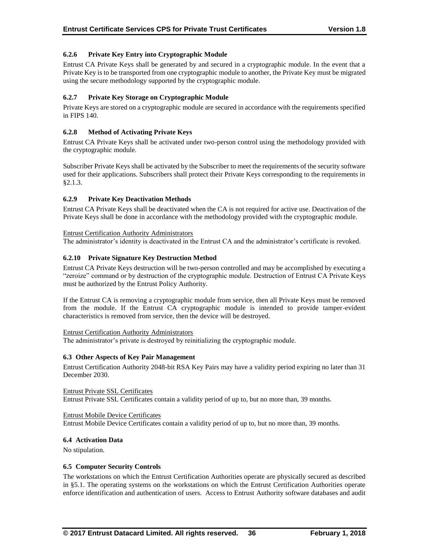# **6.2.6 Private Key Entry into Cryptographic Module**

Entrust CA Private Keys shall be generated by and secured in a cryptographic module. In the event that a Private Key is to be transported from one cryptographic module to another, the Private Key must be migrated using the secure methodology supported by the cryptographic module.

# **6.2.7 Private Key Storage on Cryptographic Module**

Private Keys are stored on a cryptographic module are secured in accordance with the requirements specified in FIPS 140.

# **6.2.8 Method of Activating Private Keys**

Entrust CA Private Keys shall be activated under two-person control using the methodology provided with the cryptographic module.

Subscriber Private Keys shall be activated by the Subscriber to meet the requirements of the security software used for their applications. Subscribers shall protect their Private Keys corresponding to the requirements in §2.1.3.

# **6.2.9 Private Key Deactivation Methods**

Entrust CA Private Keys shall be deactivated when the CA is not required for active use. Deactivation of the Private Keys shall be done in accordance with the methodology provided with the cryptographic module.

#### Entrust Certification Authority Administrators

The administrator's identity is deactivated in the Entrust CA and the administrator's certificate is revoked.

## **6.2.10 Private Signature Key Destruction Method**

Entrust CA Private Keys destruction will be two-person controlled and may be accomplished by executing a "zeroize" command or by destruction of the cryptographic module. Destruction of Entrust CA Private Keys must be authorized by the Entrust Policy Authority.

If the Entrust CA is removing a cryptographic module from service, then all Private Keys must be removed from the module. If the Entrust CA cryptographic module is intended to provide tamper-evident characteristics is removed from service, then the device will be destroyed.

## Entrust Certification Authority Administrators

The administrator's private is destroyed by reinitializing the cryptographic module.

## **6.3 Other Aspects of Key Pair Management**

Entrust Certification Authority 2048-bit RSA Key Pairs may have a validity period expiring no later than 31 December 2030.

Entrust Private SSL Certificates Entrust Private SSL Certificates contain a validity period of up to, but no more than, 39 months.

#### Entrust Mobile Device Certificates

Entrust Mobile Device Certificates contain a validity period of up to, but no more than, 39 months.

## **6.4 Activation Data**

No stipulation.

## **6.5 Computer Security Controls**

The workstations on which the Entrust Certification Authorities operate are physically secured as described in §5.1. The operating systems on the workstations on which the Entrust Certification Authorities operate enforce identification and authentication of users. Access to Entrust Authority software databases and audit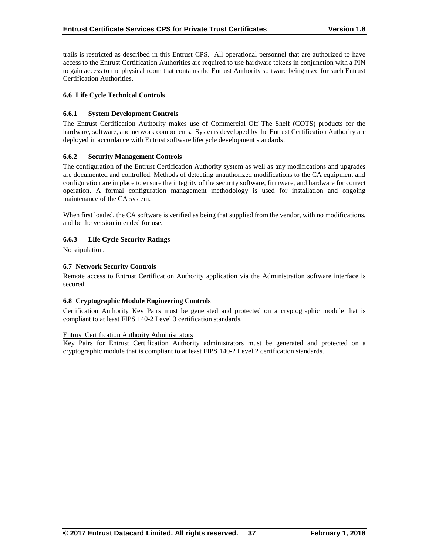trails is restricted as described in this Entrust CPS. All operational personnel that are authorized to have access to the Entrust Certification Authorities are required to use hardware tokens in conjunction with a PIN to gain access to the physical room that contains the Entrust Authority software being used for such Entrust Certification Authorities.

# **6.6 Life Cycle Technical Controls**

# **6.6.1 System Development Controls**

The Entrust Certification Authority makes use of Commercial Off The Shelf (COTS) products for the hardware, software, and network components. Systems developed by the Entrust Certification Authority are deployed in accordance with Entrust software lifecycle development standards.

## **6.6.2 Security Management Controls**

The configuration of the Entrust Certification Authority system as well as any modifications and upgrades are documented and controlled. Methods of detecting unauthorized modifications to the CA equipment and configuration are in place to ensure the integrity of the security software, firmware, and hardware for correct operation. A formal configuration management methodology is used for installation and ongoing maintenance of the CA system.

When first loaded, the CA software is verified as being that supplied from the vendor, with no modifications, and be the version intended for use.

# **6.6.3 Life Cycle Security Ratings**

No stipulation.

## **6.7 Network Security Controls**

Remote access to Entrust Certification Authority application via the Administration software interface is secured.

## **6.8 Cryptographic Module Engineering Controls**

Certification Authority Key Pairs must be generated and protected on a cryptographic module that is compliant to at least FIPS 140-2 Level 3 certification standards.

## Entrust Certification Authority Administrators

Key Pairs for Entrust Certification Authority administrators must be generated and protected on a cryptographic module that is compliant to at least FIPS 140-2 Level 2 certification standards.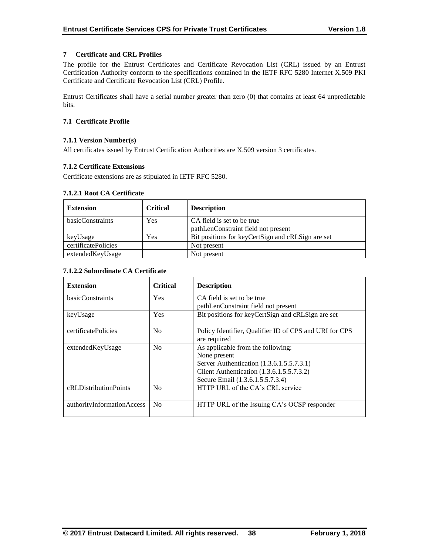# **7 Certificate and CRL Profiles**

The profile for the Entrust Certificates and Certificate Revocation List (CRL) issued by an Entrust Certification Authority conform to the specifications contained in the IETF RFC 5280 Internet X.509 PKI Certificate and Certificate Revocation List (CRL) Profile.

Entrust Certificates shall have a serial number greater than zero (0) that contains at least 64 unpredictable bits.

# **7.1 Certificate Profile**

# **7.1.1 Version Number(s)**

All certificates issued by Entrust Certification Authorities are X.509 version 3 certificates.

## **7.1.2 Certificate Extensions**

Certificate extensions are as stipulated in IETF RFC 5280.

# **7.1.2.1 Root CA Certificate**

| <b>Extension</b>    | <b>Critical</b> | <b>Description</b>                                |
|---------------------|-----------------|---------------------------------------------------|
| basicConstraints    | Yes             | CA field is set to be true                        |
|                     |                 | pathLenConstraint field not present               |
| keyUsage            | Yes             | Bit positions for keyCertSign and cRLSign are set |
| certificatePolicies |                 | Not present                                       |
| extendedKeyUsage    |                 | Not present                                       |

# **7.1.2.2 Subordinate CA Certificate**

| <b>Extension</b>           | <b>Critical</b> | <b>Description</b>                                                                                                                                                              |
|----------------------------|-----------------|---------------------------------------------------------------------------------------------------------------------------------------------------------------------------------|
| <b>basicConstraints</b>    | <b>Yes</b>      | CA field is set to be true<br>pathLenConstraint field not present                                                                                                               |
| keyUsage                   | Yes             | Bit positions for keyCertSign and cRLSign are set                                                                                                                               |
| certificatePolicies        | N <sub>0</sub>  | Policy Identifier, Qualifier ID of CPS and URI for CPS<br>are required                                                                                                          |
| extendedKeyUsage           | N <sub>0</sub>  | As applicable from the following:<br>None present<br>Server Authentication (1.3.6.1.5.5.7.3.1)<br>Client Authentication (1.3.6.1.5.5.7.3.2)<br>Secure Email (1.3.6.1.5.5.7.3.4) |
| cRLDistributionPoints      | N <sub>0</sub>  | HTTP URL of the CA's CRL service                                                                                                                                                |
| authorityInformationAccess | N <sub>0</sub>  | HTTP URL of the Issuing CA's OCSP responder                                                                                                                                     |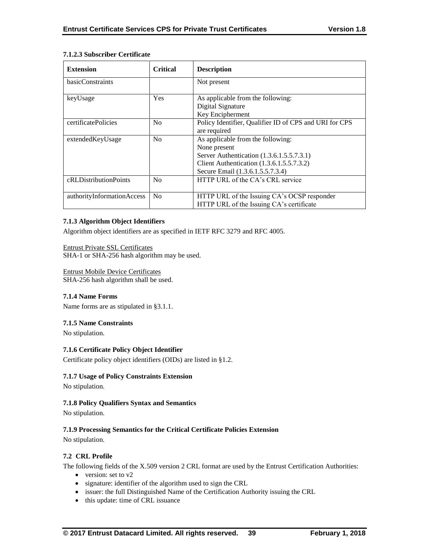# **7.1.2.3 Subscriber Certificate**

| <b>Extension</b>           | <b>Critical</b> | <b>Description</b>                                                                                                                                                              |
|----------------------------|-----------------|---------------------------------------------------------------------------------------------------------------------------------------------------------------------------------|
| basicConstraints           |                 | Not present                                                                                                                                                                     |
| keyUsage                   | <b>Yes</b>      | As applicable from the following:<br>Digital Signature<br>Key Encipherment                                                                                                      |
| certificatePolicies        | N <sub>0</sub>  | Policy Identifier, Qualifier ID of CPS and URI for CPS<br>are required                                                                                                          |
| extended Key Usage         | No              | As applicable from the following:<br>None present<br>Server Authentication (1.3.6.1.5.5.7.3.1)<br>Client Authentication (1.3.6.1.5.5.7.3.2)<br>Secure Email (1.3.6.1.5.5.7.3.4) |
| cRLDistributionPoints      | No              | HTTP URL of the CA's CRL service                                                                                                                                                |
| authorityInformationAccess | N <sub>0</sub>  | HTTP URL of the Issuing CA's OCSP responder<br>HTTP URL of the Issuing CA's certificate                                                                                         |

# **7.1.3 Algorithm Object Identifiers**

Algorithm object identifiers are as specified in IETF RFC 3279 and RFC 4005.

Entrust Private SSL Certificates

SHA-1 or SHA-256 hash algorithm may be used.

Entrust Mobile Device Certificates SHA-256 hash algorithm shall be used.

## **7.1.4 Name Forms**

Name forms are as stipulated in §3.1.1.

# **7.1.5 Name Constraints**

No stipulation.

# **7.1.6 Certificate Policy Object Identifier**

Certificate policy object identifiers (OIDs) are listed in §1.2.

## **7.1.7 Usage of Policy Constraints Extension**

No stipulation.

# **7.1.8 Policy Qualifiers Syntax and Semantics**

No stipulation.

# **7.1.9 Processing Semantics for the Critical Certificate Policies Extension**

No stipulation.

# **7.2 CRL Profile**

The following fields of the X.509 version 2 CRL format are used by the Entrust Certification Authorities:

- version: set to v2
- signature: identifier of the algorithm used to sign the CRL
- issuer: the full Distinguished Name of the Certification Authority issuing the CRL
- this update: time of CRL issuance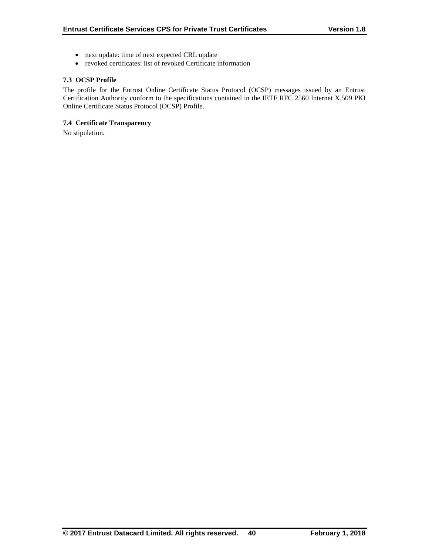- next update: time of next expected CRL update
- revoked certificates: list of revoked Certificate information

# **7.3 OCSP Profile**

The profile for the Entrust Online Certificate Status Protocol (OCSP) messages issued by an Entrust Certification Authority conform to the specifications contained in the IETF RFC 2560 Internet X.509 PKI Online Certificate Status Protocol (OCSP) Profile.

# **7.4 Certificate Transparency**

No stipulation.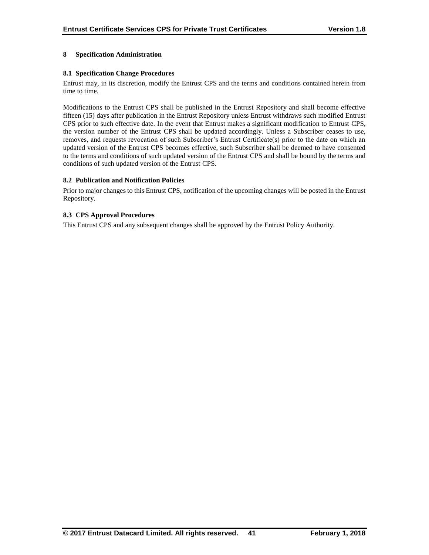# **8 Specification Administration**

# **8.1 Specification Change Procedures**

Entrust may, in its discretion, modify the Entrust CPS and the terms and conditions contained herein from time to time.

Modifications to the Entrust CPS shall be published in the Entrust Repository and shall become effective fifteen (15) days after publication in the Entrust Repository unless Entrust withdraws such modified Entrust CPS prior to such effective date. In the event that Entrust makes a significant modification to Entrust CPS, the version number of the Entrust CPS shall be updated accordingly. Unless a Subscriber ceases to use, removes, and requests revocation of such Subscriber's Entrust Certificate(s) prior to the date on which an updated version of the Entrust CPS becomes effective, such Subscriber shall be deemed to have consented to the terms and conditions of such updated version of the Entrust CPS and shall be bound by the terms and conditions of such updated version of the Entrust CPS.

## **8.2 Publication and Notification Policies**

Prior to major changes to this Entrust CPS, notification of the upcoming changes will be posted in the Entrust Repository.

# **8.3 CPS Approval Procedures**

This Entrust CPS and any subsequent changes shall be approved by the Entrust Policy Authority.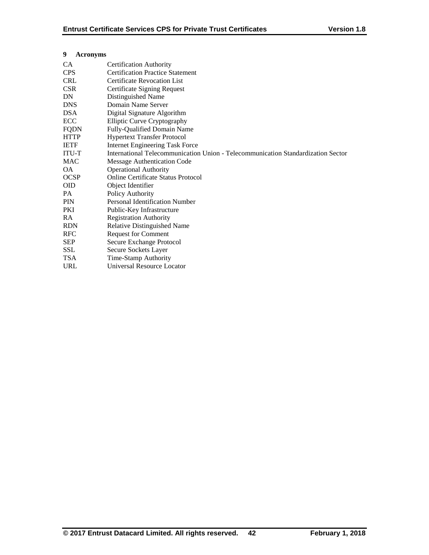| 9<br><b>Acronyms</b> |                                                                                  |
|----------------------|----------------------------------------------------------------------------------|
| CA                   | <b>Certification Authority</b>                                                   |
| <b>CPS</b>           | <b>Certification Practice Statement</b>                                          |
| <b>CRL</b>           | <b>Certificate Revocation List</b>                                               |
| <b>CSR</b>           | Certificate Signing Request                                                      |
| DN                   | Distinguished Name                                                               |
| <b>DNS</b>           | Domain Name Server                                                               |
| <b>DSA</b>           | Digital Signature Algorithm                                                      |
| ECC                  | Elliptic Curve Cryptography                                                      |
| <b>FQDN</b>          | Fully-Qualified Domain Name                                                      |
| <b>HTTP</b>          | <b>Hypertext Transfer Protocol</b>                                               |
| <b>IETF</b>          | <b>Internet Engineering Task Force</b>                                           |
| <b>ITU-T</b>         | International Telecommunication Union - Telecommunication Standardization Sector |
| <b>MAC</b>           | Message Authentication Code                                                      |
| OA.                  | <b>Operational Authority</b>                                                     |
| <b>OCSP</b>          | <b>Online Certificate Status Protocol</b>                                        |
| <b>OID</b>           | Object Identifier                                                                |
| PA.                  | Policy Authority                                                                 |
| <b>PIN</b>           | Personal Identification Number                                                   |
| <b>PKI</b>           | Public-Key Infrastructure                                                        |
| <b>RA</b>            | <b>Registration Authority</b>                                                    |
| <b>RDN</b>           | Relative Distinguished Name                                                      |
| <b>RFC</b>           | <b>Request for Comment</b>                                                       |
| <b>SEP</b>           | Secure Exchange Protocol                                                         |
| <b>SSL</b>           | Secure Sockets Layer                                                             |
| <b>TSA</b>           | Time-Stamp Authority                                                             |
| <b>URL</b>           | Universal Resource Locator                                                       |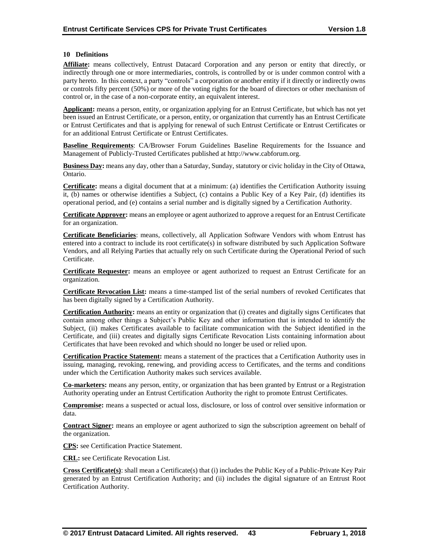# **10 Definitions**

**Affiliate:** means collectively, Entrust Datacard Corporation and any person or entity that directly, or indirectly through one or more intermediaries, controls, is controlled by or is under common control with a party hereto. In this context, a party "controls" a corporation or another entity if it directly or indirectly owns or controls fifty percent (50%) or more of the voting rights for the board of directors or other mechanism of control or, in the case of a non-corporate entity, an equivalent interest.

**Applicant:** means a person, entity, or organization applying for an Entrust Certificate, but which has not yet been issued an Entrust Certificate, or a person, entity, or organization that currently has an Entrust Certificate or Entrust Certificates and that is applying for renewal of such Entrust Certificate or Entrust Certificates or for an additional Entrust Certificate or Entrust Certificates.

**Baseline Requirements**: CA/Browser Forum Guidelines Baseline Requirements for the Issuance and Management of Publicly-Trusted Certificates published at http://www.cabforum.org.

**Business Day:** means any day, other than a Saturday, Sunday, statutory or civic holiday in the City of Ottawa, Ontario.

**Certificate:** means a digital document that at a minimum: (a) identifies the Certification Authority issuing it, (b) names or otherwise identifies a Subject, (c) contains a Public Key of a Key Pair, (d) identifies its operational period, and (e) contains a serial number and is digitally signed by a Certification Authority.

**Certificate Approver:** means an employee or agent authorized to approve a request for an Entrust Certificate for an organization.

**Certificate Beneficiaries**: means, collectively, all Application Software Vendors with whom Entrust has entered into a contract to include its root certificate(s) in software distributed by such Application Software Vendors, and all Relying Parties that actually rely on such Certificate during the Operational Period of such Certificate.

**Certificate Requester:** means an employee or agent authorized to request an Entrust Certificate for an organization.

**Certificate Revocation List:** means a time-stamped list of the serial numbers of revoked Certificates that has been digitally signed by a Certification Authority.

**Certification Authority:** means an entity or organization that (i) creates and digitally signs Certificates that contain among other things a Subject's Public Key and other information that is intended to identify the Subject, (ii) makes Certificates available to facilitate communication with the Subject identified in the Certificate, and (iii) creates and digitally signs Certificate Revocation Lists containing information about Certificates that have been revoked and which should no longer be used or relied upon.

**Certification Practice Statement:** means a statement of the practices that a Certification Authority uses in issuing, managing, revoking, renewing, and providing access to Certificates, and the terms and conditions under which the Certification Authority makes such services available.

**Co-marketers:** means any person, entity, or organization that has been granted by Entrust or a Registration Authority operating under an Entrust Certification Authority the right to promote Entrust Certificates.

**Compromise:** means a suspected or actual loss, disclosure, or loss of control over sensitive information or data.

**Contract Signer:** means an employee or agent authorized to sign the subscription agreement on behalf of the organization.

**CPS:** see Certification Practice Statement.

**CRL:** see Certificate Revocation List.

**Cross Certificate(s)**: shall mean a Certificate(s) that (i) includes the Public Key of a Public-Private Key Pair generated by an Entrust Certification Authority; and (ii) includes the digital signature of an Entrust Root Certification Authority.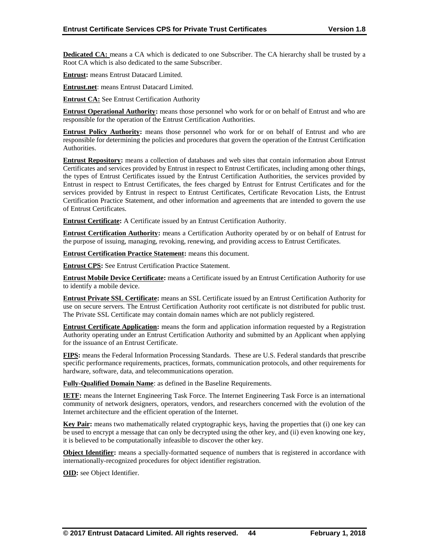**Dedicated CA:** means a CA which is dedicated to one Subscriber. The CA hierarchy shall be trusted by a Root CA which is also dedicated to the same Subscriber.

**Entrust:** means Entrust Datacard Limited.

**Entrust.net**: means Entrust Datacard Limited.

**Entrust CA:** See Entrust Certification Authority

**Entrust Operational Authority:** means those personnel who work for or on behalf of Entrust and who are responsible for the operation of the Entrust Certification Authorities.

**Entrust Policy Authority:** means those personnel who work for or on behalf of Entrust and who are responsible for determining the policies and procedures that govern the operation of the Entrust Certification Authorities.

**Entrust Repository:** means a collection of databases and web sites that contain information about Entrust Certificates and services provided by Entrust in respect to Entrust Certificates, including among other things, the types of Entrust Certificates issued by the Entrust Certification Authorities, the services provided by Entrust in respect to Entrust Certificates, the fees charged by Entrust for Entrust Certificates and for the services provided by Entrust in respect to Entrust Certificates, Certificate Revocation Lists, the Entrust Certification Practice Statement, and other information and agreements that are intended to govern the use of Entrust Certificates.

**Entrust Certificate:** A Certificate issued by an Entrust Certification Authority.

**Entrust Certification Authority:** means a Certification Authority operated by or on behalf of Entrust for the purpose of issuing, managing, revoking, renewing, and providing access to Entrust Certificates.

**Entrust Certification Practice Statement:** means this document.

**Entrust CPS:** See Entrust Certification Practice Statement.

**Entrust Mobile Device Certificate:** means a Certificate issued by an Entrust Certification Authority for use to identify a mobile device.

**Entrust Private SSL Certificate:** means an SSL Certificate issued by an Entrust Certification Authority for use on secure servers. The Entrust Certification Authority root certificate is not distributed for public trust. The Private SSL Certificate may contain domain names which are not publicly registered.

**Entrust Certificate Application:** means the form and application information requested by a Registration Authority operating under an Entrust Certification Authority and submitted by an Applicant when applying for the issuance of an Entrust Certificate.

**FIPS:** means the Federal Information Processing Standards. These are U.S. Federal standards that prescribe specific performance requirements, practices, formats, communication protocols, and other requirements for hardware, software, data, and telecommunications operation.

**Fully-Qualified Domain Name**: as defined in the Baseline Requirements.

**IETF:** means the Internet Engineering Task Force. The Internet Engineering Task Force is an international community of network designers, operators, vendors, and researchers concerned with the evolution of the Internet architecture and the efficient operation of the Internet.

**Key Pair:** means two mathematically related cryptographic keys, having the properties that (i) one key can be used to encrypt a message that can only be decrypted using the other key, and (ii) even knowing one key, it is believed to be computationally infeasible to discover the other key.

**Object Identifier:** means a specially-formatted sequence of numbers that is registered in accordance with internationally-recognized procedures for object identifier registration.

**OID:** see Object Identifier.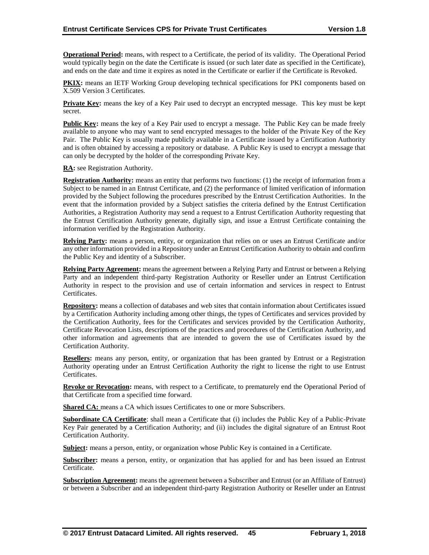**Operational Period:** means, with respect to a Certificate, the period of its validity. The Operational Period would typically begin on the date the Certificate is issued (or such later date as specified in the Certificate), and ends on the date and time it expires as noted in the Certificate or earlier if the Certificate is Revoked.

**PKIX:** means an IETF Working Group developing technical specifications for PKI components based on X.509 Version 3 Certificates.

**Private Key:** means the key of a Key Pair used to decrypt an encrypted message. This key must be kept secret.

**Public Key:** means the key of a Key Pair used to encrypt a message. The Public Key can be made freely available to anyone who may want to send encrypted messages to the holder of the Private Key of the Key Pair. The Public Key is usually made publicly available in a Certificate issued by a Certification Authority and is often obtained by accessing a repository or database. A Public Key is used to encrypt a message that can only be decrypted by the holder of the corresponding Private Key.

**RA:** see Registration Authority.

**Registration Authority:** means an entity that performs two functions: (1) the receipt of information from a Subject to be named in an Entrust Certificate, and (2) the performance of limited verification of information provided by the Subject following the procedures prescribed by the Entrust Certification Authorities. In the event that the information provided by a Subject satisfies the criteria defined by the Entrust Certification Authorities, a Registration Authority may send a request to a Entrust Certification Authority requesting that the Entrust Certification Authority generate, digitally sign, and issue a Entrust Certificate containing the information verified by the Registration Authority.

**Relying Party:** means a person, entity, or organization that relies on or uses an Entrust Certificate and/or any other information provided in a Repository under an Entrust Certification Authority to obtain and confirm the Public Key and identity of a Subscriber.

**Relying Party Agreement:** means the agreement between a Relying Party and Entrust or between a Relying Party and an independent third-party Registration Authority or Reseller under an Entrust Certification Authority in respect to the provision and use of certain information and services in respect to Entrust Certificates.

**Repository:** means a collection of databases and web sites that contain information about Certificates issued by a Certification Authority including among other things, the types of Certificates and services provided by the Certification Authority, fees for the Certificates and services provided by the Certification Authority, Certificate Revocation Lists, descriptions of the practices and procedures of the Certification Authority, and other information and agreements that are intended to govern the use of Certificates issued by the Certification Authority.

**Resellers:** means any person, entity, or organization that has been granted by Entrust or a Registration Authority operating under an Entrust Certification Authority the right to license the right to use Entrust Certificates.

**Revoke or Revocation:** means, with respect to a Certificate, to prematurely end the Operational Period of that Certificate from a specified time forward.

**Shared CA:** means a CA which issues Certificates to one or more Subscribers.

**Subordinate CA Certificate**: shall mean a Certificate that (i) includes the Public Key of a Public-Private Key Pair generated by a Certification Authority; and (ii) includes the digital signature of an Entrust Root Certification Authority.

**Subject:** means a person, entity, or organization whose Public Key is contained in a Certificate.

**Subscriber:** means a person, entity, or organization that has applied for and has been issued an Entrust Certificate.

**Subscription Agreement:** means the agreement between a Subscriber and Entrust (or an Affiliate of Entrust) or between a Subscriber and an independent third-party Registration Authority or Reseller under an Entrust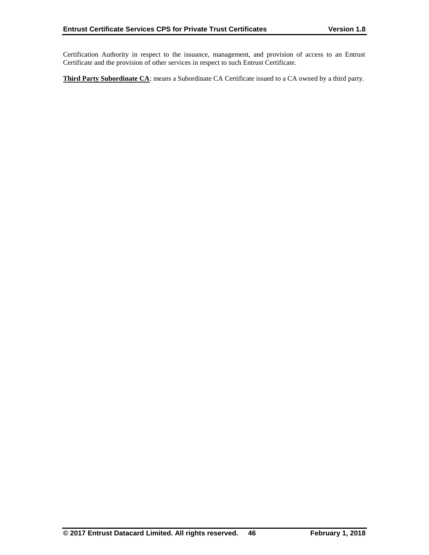Certification Authority in respect to the issuance, management, and provision of access to an Entrust Certificate and the provision of other services in respect to such Entrust Certificate.

**Third Party Subordinate CA**: means a Subordinate CA Certificate issued to a CA owned by a third party.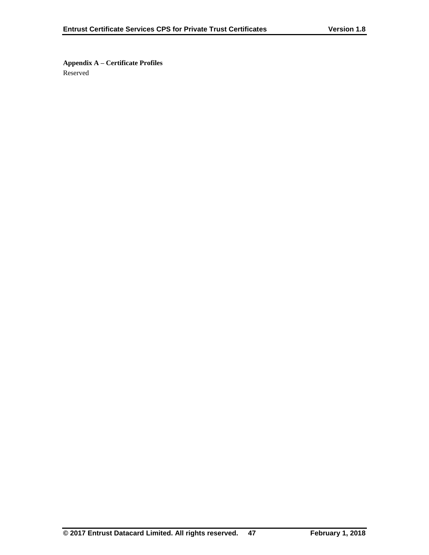**Appendix A – Certificate Profiles** Reserved